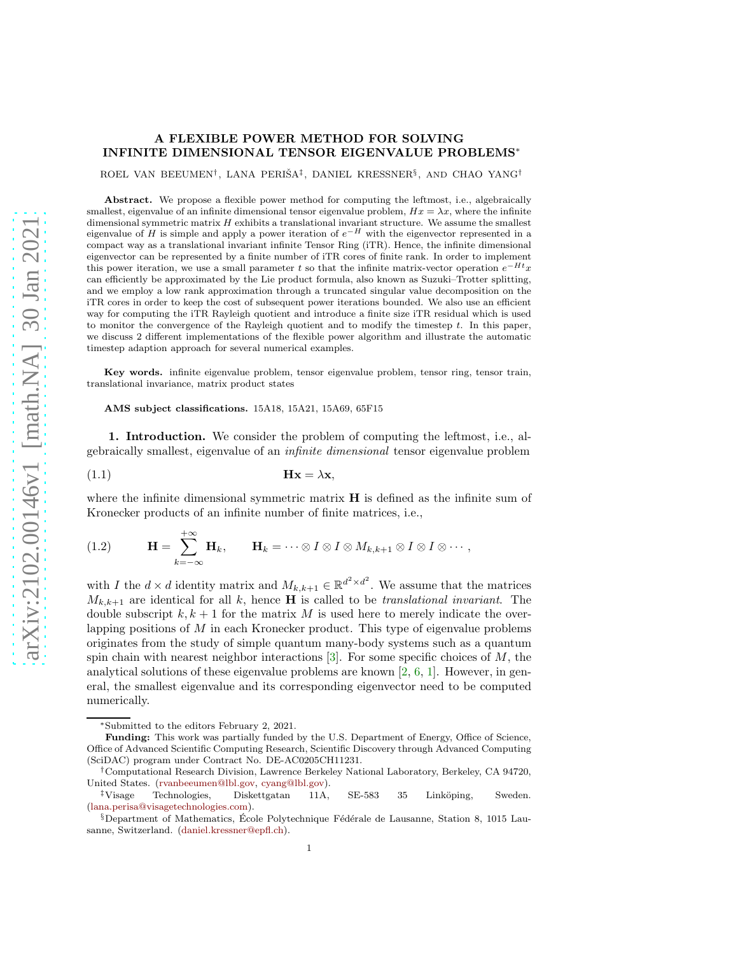## A FLEXIBLE POWER METHOD FOR SOLVING INFINITE DIMENSIONAL TENSOR EIGENVALUE PROBLEMS<sup>∗</sup>

ROEL VAN BEEUMEN<sup>†</sup>, LANA PERIŠA<sup>‡</sup>, DANIEL KRESSNER<sup>§</sup>, AND CHAO YANG<sup>†</sup>

Abstract. We propose a flexible power method for computing the leftmost, i.e., algebraically smallest, eigenvalue of an infinite dimensional tensor eigenvalue problem,  $Hx = \lambda x$ , where the infinite dimensional symmetric matrix  $H$  exhibits a translational invariant structure. We assume the smallest eigenvalue of H is simple and apply a power iteration of  $e^{-H}$  with the eigenvector represented in a compact way as a translational invariant infinite Tensor Ring (iTR). Hence, the infinite dimensional eigenvector can be represented by a finite number of iTR cores of finite rank. In order to implement this power iteration, we use a small parameter t so that the infinite matrix-vector operation  $e^{-Ht}x$ can efficiently be approximated by the Lie product formula, also known as Suzuki–Trotter splitting, and we employ a low rank approximation through a truncated singular value decomposition on the iTR cores in order to keep the cost of subsequent power iterations bounded. We also use an efficient way for computing the iTR Rayleigh quotient and introduce a finite size iTR residual which is used to monitor the convergence of the Rayleigh quotient and to modify the timestep  $t$ . In this paper, we discuss 2 different implementations of the flexible power algorithm and illustrate the automatic timestep adaption approach for several numerical examples.

Key words. infinite eigenvalue problem, tensor eigenvalue problem, tensor ring, tensor train, translational invariance, matrix product states

<span id="page-0-0"></span>AMS subject classifications. 15A18, 15A21, 15A69, 65F15

1. Introduction. We consider the problem of computing the leftmost, i.e., algebraically smallest, eigenvalue of an infinite dimensional tensor eigenvalue problem

$$
(1.1) \t\t\tHx = \lambda x,
$$

where the infinite dimensional symmetric matrix  $\bf{H}$  is defined as the infinite sum of Kronecker products of an infinite number of finite matrices, i.e.,

<span id="page-0-1"></span>(1.2) 
$$
\mathbf{H} = \sum_{k=-\infty}^{+\infty} \mathbf{H}_k, \qquad \mathbf{H}_k = \cdots \otimes I \otimes I \otimes M_{k,k+1} \otimes I \otimes I \otimes \cdots,
$$

with I the  $d \times d$  identity matrix and  $M_{k,k+1} \in \mathbb{R}^{d^2 \times d^2}$ . We assume that the matrices  $M_{k,k+1}$  are identical for all k, hence **H** is called to be translational invariant. The double subscript  $k, k + 1$  for the matrix M is used here to merely indicate the overlapping positions of  $M$  in each Kronecker product. This type of eigenvalue problems originates from the study of simple quantum many-body systems such as a quantum spin chain with nearest neighbor interactions  $[3]$ . For some specific choices of M, the analytical solutions of these eigenvalue problems are known  $[2, 6, 1]$  $[2, 6, 1]$  $[2, 6, 1]$  $[2, 6, 1]$ . However, in general, the smallest eigenvalue and its corresponding eigenvector need to be computed numerically.

<sup>∗</sup>Submitted to the editors February 2, 2021.

Funding: This work was partially funded by the U.S. Department of Energy, Office of Science, Office of Advanced Scientific Computing Research, Scientific Discovery through Advanced Computing (SciDAC) program under Contract No. DE-AC0205CH11231.

<sup>†</sup>Computational Research Division, Lawrence Berkeley National Laboratory, Berkeley, CA 94720, United States. [\(rvanbeeumen@lbl.gov,](mailto:rvanbeeumen@lbl.gov) [cyang@lbl.gov\)](mailto:cyang@lbl.gov).

 $\frac{1}{2}$ Visage Technologies, Diskettgatan 11A, SE-583 35 Linköping, Sweden. [\(lana.perisa@visagetechnologies.com\)](mailto:lana.perisa@visagetechnologies.com).

 $\S$ Department of Mathematics, École Polytechnique Fédérale de Lausanne, Station 8, 1015 Lausanne, Switzerland. [\(daniel.kressner@epfl.ch\)](mailto:daniel.kressner@epfl.ch).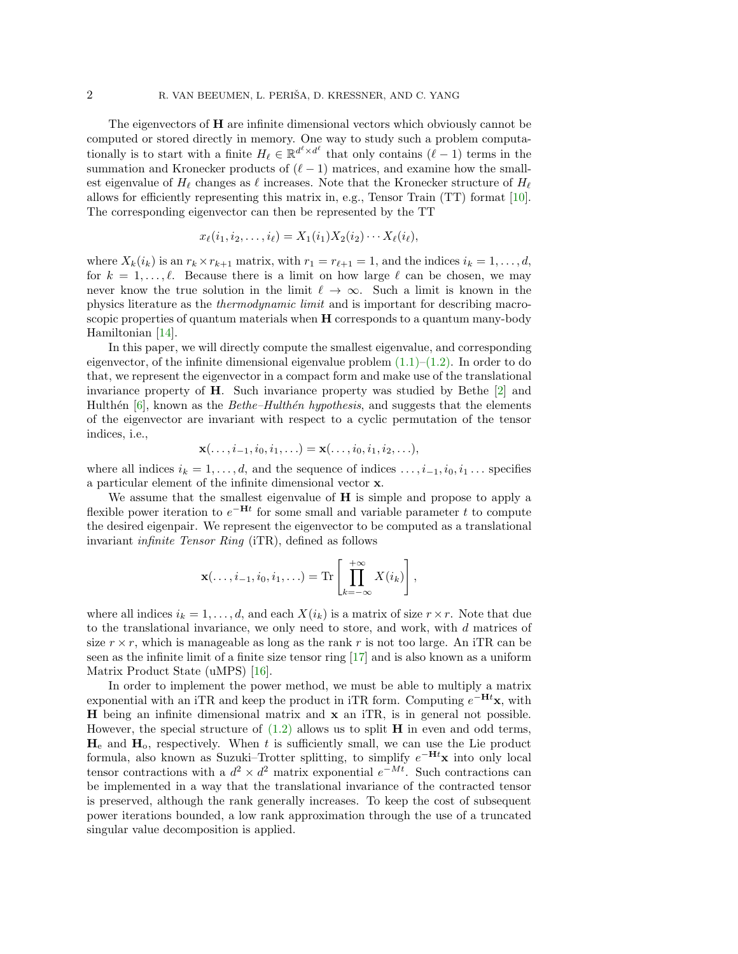The eigenvectors of  $H$  are infinite dimensional vectors which obviously cannot be computed or stored directly in memory. One way to study such a problem computationally is to start with a finite  $H_{\ell} \in \mathbb{R}^{d^{\ell} \times d^{\ell}}$  that only contains  $(\ell - 1)$  terms in the summation and Kronecker products of  $(\ell-1)$  matrices, and examine how the smallest eigenvalue of  $H_{\ell}$  changes as  $\ell$  increases. Note that the Kronecker structure of  $H_{\ell}$ allows for efficiently representing this matrix in, e.g., Tensor Train (TT) format [\[10\]](#page-32-4). The corresponding eigenvector can then be represented by the TT

$$
x_{\ell}(i_1,i_2,\ldots,i_{\ell})=X_1(i_1)X_2(i_2)\cdots X_{\ell}(i_{\ell}),
$$

where  $X_k(i_k)$  is an  $r_k \times r_{k+1}$  matrix, with  $r_1 = r_{\ell+1} = 1$ , and the indices  $i_k = 1, \ldots, d$ , for  $k = 1, \ldots, \ell$ . Because there is a limit on how large  $\ell$  can be chosen, we may never know the true solution in the limit  $\ell \to \infty$ . Such a limit is known in the physics literature as the thermodynamic limit and is important for describing macroscopic properties of quantum materials when H corresponds to a quantum many-body Hamiltonian [\[14\]](#page-32-5).

In this paper, we will directly compute the smallest eigenvalue, and corresponding eigenvector, of the infinite dimensional eigenvalue problem  $(1.1)$ – $(1.2)$ . In order to do that, we represent the eigenvector in a compact form and make use of the translational invariance property of H. Such invariance property was studied by Bethe [\[2\]](#page-32-1) and Hulthén  $[6]$ , known as the *Bethe–Hulthén hypothesis*, and suggests that the elements of the eigenvector are invariant with respect to a cyclic permutation of the tensor indices, i.e.,

$$
\mathbf{x}(\ldots,i_{-1},i_0,i_1,\ldots)=\mathbf{x}(\ldots,i_0,i_1,i_2,\ldots),
$$

where all indices  $i_k = 1, \ldots, d$ , and the sequence of indices  $\ldots, i_{-1}, i_0, i_1 \ldots$  specifies a particular element of the infinite dimensional vector x.

We assume that the smallest eigenvalue of  $H$  is simple and propose to apply a flexible power iteration to  $e^{-Ht}$  for some small and variable parameter t to compute the desired eigenpair. We represent the eigenvector to be computed as a translational invariant infinite Tensor Ring (iTR), defined as follows

$$
\mathbf{x}(\ldots,i_{-1},i_0,i_1,\ldots)=\text{Tr}\left[\prod_{k=-\infty}^{+\infty}X(i_k)\right],
$$

where all indices  $i_k = 1, \ldots, d$ , and each  $X(i_k)$  is a matrix of size  $r \times r$ . Note that due to the translational invariance, we only need to store, and work, with d matrices of size  $r \times r$ , which is manageable as long as the rank r is not too large. An iTR can be seen as the infinite limit of a finite size tensor ring [\[17\]](#page-32-6) and is also known as a uniform Matrix Product State (uMPS) [\[16\]](#page-32-7).

In order to implement the power method, we must be able to multiply a matrix exponential with an iTR and keep the product in iTR form. Computing  $e^{-Ht}$ **x**, with H being an infinite dimensional matrix and x an iTR, is in general not possible. However, the special structure of  $(1.2)$  allows us to split **H** in even and odd terms,  $H<sub>e</sub>$  and  $H<sub>o</sub>$ , respectively. When t is sufficiently small, we can use the Lie product formula, also known as Suzuki–Trotter splitting, to simplify  $e^{-Ht}x$  into only local tensor contractions with a  $d^2 \times d^2$  matrix exponential  $e^{-Mt}$ . Such contractions can be implemented in a way that the translational invariance of the contracted tensor is preserved, although the rank generally increases. To keep the cost of subsequent power iterations bounded, a low rank approximation through the use of a truncated singular value decomposition is applied.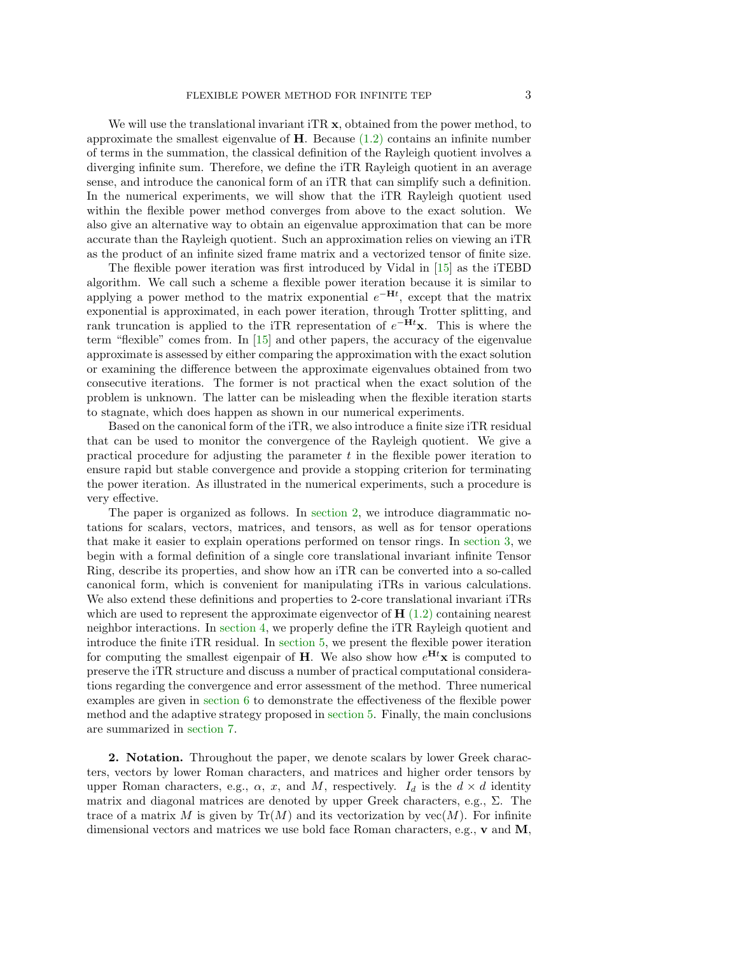We will use the translational invariant iTR  $x$ , obtained from the power method, to approximate the smallest eigenvalue of  $H$ . Because  $(1.2)$  contains an infinite number of terms in the summation, the classical definition of the Rayleigh quotient involves a diverging infinite sum. Therefore, we define the iTR Rayleigh quotient in an average sense, and introduce the canonical form of an iTR that can simplify such a definition. In the numerical experiments, we will show that the iTR Rayleigh quotient used within the flexible power method converges from above to the exact solution. We also give an alternative way to obtain an eigenvalue approximation that can be more accurate than the Rayleigh quotient. Such an approximation relies on viewing an iTR as the product of an infinite sized frame matrix and a vectorized tensor of finite size.

The flexible power iteration was first introduced by Vidal in [\[15\]](#page-32-8) as the iTEBD algorithm. We call such a scheme a flexible power iteration because it is similar to applying a power method to the matrix exponential  $e^{-\mathbf{H}t}$ , except that the matrix exponential is approximated, in each power iteration, through Trotter splitting, and rank truncation is applied to the iTR representation of  $e^{-Ht}$ **x**. This is where the term "flexible" comes from. In [\[15\]](#page-32-8) and other papers, the accuracy of the eigenvalue approximate is assessed by either comparing the approximation with the exact solution or examining the difference between the approximate eigenvalues obtained from two consecutive iterations. The former is not practical when the exact solution of the problem is unknown. The latter can be misleading when the flexible iteration starts to stagnate, which does happen as shown in our numerical experiments.

Based on the canonical form of the iTR, we also introduce a finite size iTR residual that can be used to monitor the convergence of the Rayleigh quotient. We give a practical procedure for adjusting the parameter t in the flexible power iteration to ensure rapid but stable convergence and provide a stopping criterion for terminating the power iteration. As illustrated in the numerical experiments, such a procedure is very effective.

The paper is organized as follows. In [section 2,](#page-2-0) we introduce diagrammatic notations for scalars, vectors, matrices, and tensors, as well as for tensor operations that make it easier to explain operations performed on tensor rings. In [section 3,](#page-3-0) we begin with a formal definition of a single core translational invariant infinite Tensor Ring, describe its properties, and show how an iTR can be converted into a so-called canonical form, which is convenient for manipulating iTRs in various calculations. We also extend these definitions and properties to 2-core translational invariant iTRs which are used to represent the approximate eigenvector of  $\bf{H}$  [\(1.2\)](#page-0-1) containing nearest neighbor interactions. In [section 4,](#page-13-0) we properly define the iTR Rayleigh quotient and introduce the finite iTR residual. In [section 5,](#page-20-0) we present the flexible power iteration for computing the smallest eigenpair of **H**. We also show how  $e^{\mathbf{H}t} \mathbf{x}$  is computed to preserve the iTR structure and discuss a number of practical computational considerations regarding the convergence and error assessment of the method. Three numerical examples are given in [section 6](#page-26-0) to demonstrate the effectiveness of the flexible power method and the adaptive strategy proposed in [section 5.](#page-20-0) Finally, the main conclusions are summarized in [section 7.](#page-30-0)

<span id="page-2-0"></span>2. Notation. Throughout the paper, we denote scalars by lower Greek characters, vectors by lower Roman characters, and matrices and higher order tensors by upper Roman characters, e.g.,  $\alpha$ , x, and M, respectively.  $I_d$  is the  $d \times d$  identity matrix and diagonal matrices are denoted by upper Greek characters, e.g., Σ. The trace of a matrix M is given by  $Tr(M)$  and its vectorization by  $vec(M)$ . For infinite dimensional vectors and matrices we use bold face Roman characters, e.g., v and M,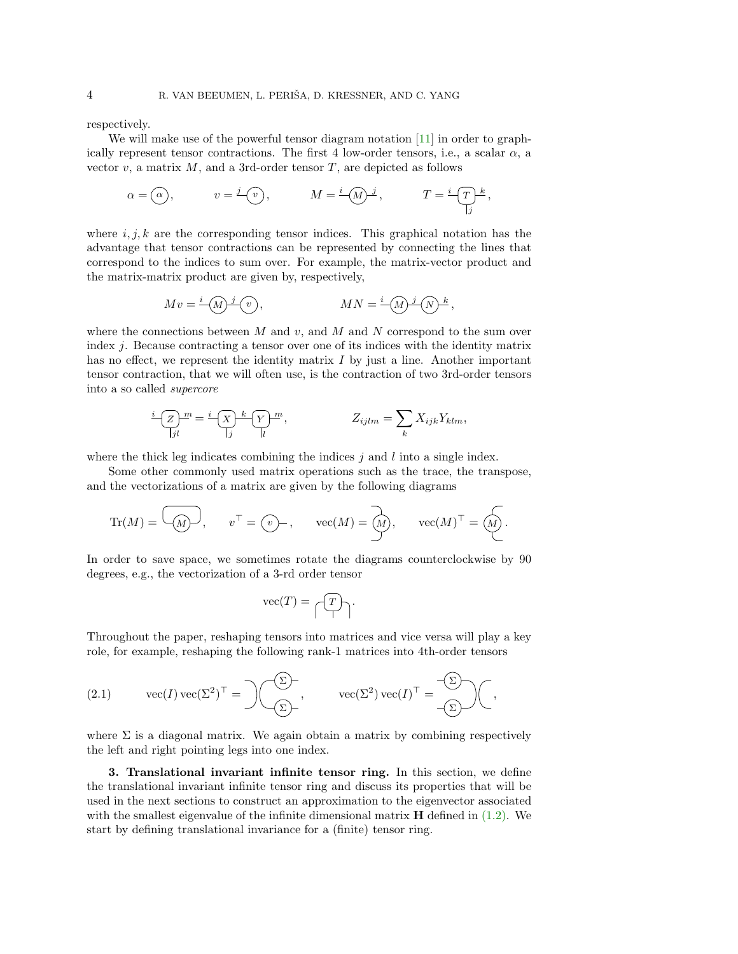respectively.

We will make use of the powerful tensor diagram notation [\[11\]](#page-32-9) in order to graphically represent tensor contractions. The first 4 low-order tensors, i.e., a scalar  $\alpha$ , a vector  $v$ , a matrix  $M$ , and a 3rd-order tensor  $T$ , are depicted as follows

$$
\alpha = \boxed{\alpha}, \hspace{1cm} v = \frac{j}{\sqrt{v}}, \hspace{1cm} M = \frac{i}{\sqrt{v}}, \hspace{1cm} T = \frac{i}{\sqrt{r}} \boxed{\frac{r}{j}},
$$

where  $i, j, k$  are the corresponding tensor indices. This graphical notation has the advantage that tensor contractions can be represented by connecting the lines that correspond to the indices to sum over. For example, the matrix-vector product and the matrix-matrix product are given by, respectively,

$$
Mv = \frac{i\hspace{-0.75pt}\cdot\hspace{-0.75pt} (M)^j \hspace{-0.75pt}\cdot\hspace{-0.75pt} (v)}{WN} = \frac{i\hspace{-0.75pt}\cdot\hspace{-0.75pt} (M)^j \hspace{-0.75pt}\cdot\hspace{-0.75pt} (N)^k}{W},
$$

where the connections between  $M$  and  $v$ , and  $M$  and  $N$  correspond to the sum over index  $i$ . Because contracting a tensor over one of its indices with the identity matrix has no effect, we represent the identity matrix  $I$  by just a line. Another important tensor contraction, that we will often use, is the contraction of two 3rd-order tensors into a so called supercore

$$
\frac{i\left(Z\right)^m}{j!} = \frac{i\left(X\right)^k\left(Y\right)^m}{j}, \qquad Z_{ijlm} = \sum_k X_{ijk} Y_{klm},
$$

where the thick leg indicates combining the indices  $j$  and  $l$  into a single index.

Some other commonly used matrix operations such as the trace, the transpose, and the vectorizations of a matrix are given by the following diagrams

$$
\text{Tr}(M) = \overbrace{(M)}^{\text{T}}, \quad v^{\top} = \overbrace{(v)}^{\text{T}}, \quad \text{vec}(M) = \overbrace{(M)}^{\text{T}}, \quad \text{vec}(M)^{\top} = \overbrace{(M)}^{\text{T}}.
$$

In order to save space, we sometimes rotate the diagrams counterclockwise by 90 degrees, e.g., the vectorization of a 3-rd order tensor

$$
\text{vec}(T) = \bigcap_{T \in \mathcal{T}} \bigcap_{T \in \mathcal{T}} \bigcap_{T \in \mathcal{T}}
$$

Throughout the paper, reshaping tensors into matrices and vice versa will play a key role, for example, reshaping the following rank-1 matrices into 4th-order tensors

(2.1) 
$$
\text{vec}(I) \text{vec}(\Sigma^2)^\top = \bigg) \bigg( \bigg( \sum_{\Sigma} \bigg) \qquad \text{vec}(\Sigma^2) \text{vec}(I)^\top = \bigg( \sum_{\Sigma} \bigg) \bigg( \bigg),
$$

where  $\Sigma$  is a diagonal matrix. We again obtain a matrix by combining respectively the left and right pointing legs into one index.

<span id="page-3-0"></span>3. Translational invariant infinite tensor ring. In this section, we define the translational invariant infinite tensor ring and discuss its properties that will be used in the next sections to construct an approximation to the eigenvector associated with the smallest eigenvalue of the infinite dimensional matrix  $\bf{H}$  defined in [\(1.2\).](#page-0-1) We start by defining translational invariance for a (finite) tensor ring.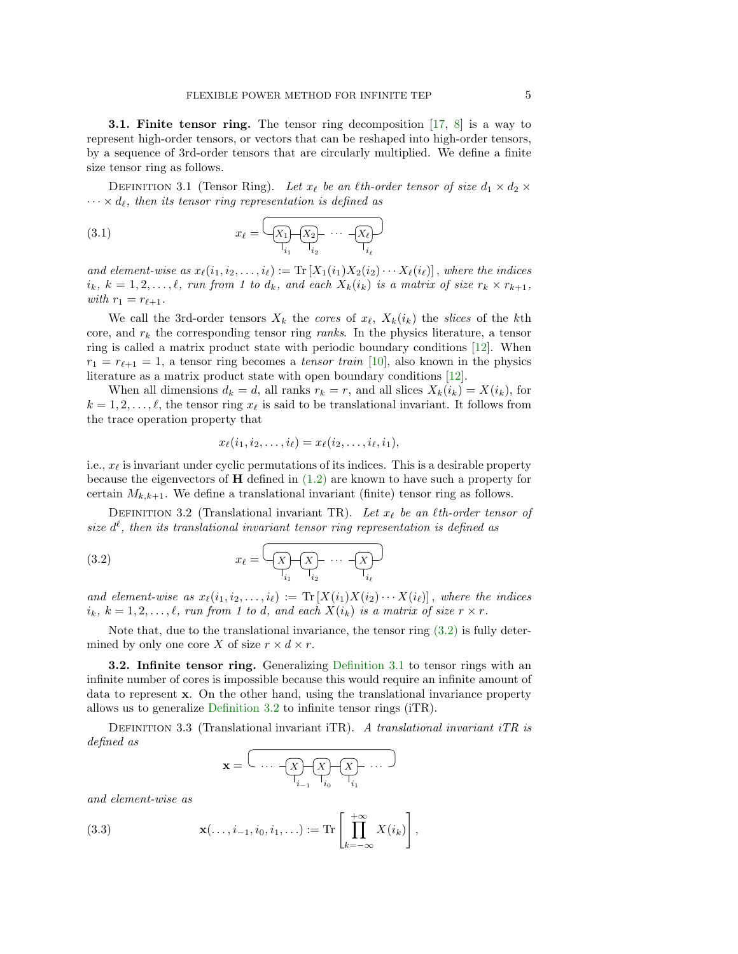**3.1. Finite tensor ring.** The tensor ring decomposition  $\begin{bmatrix} 17, 8 \end{bmatrix}$  is a way to represent high-order tensors, or vectors that can be reshaped into high-order tensors, by a sequence of 3rd-order tensors that are circularly multiplied. We define a finite size tensor ring as follows.

<span id="page-4-1"></span>DEFINITION 3.1 (Tensor Ring). Let  $x_{\ell}$  be an  $\ell$ th-order tensor of size  $d_1 \times d_2 \times$  $\cdots \times d_{\ell}$ , then its tensor ring representation is defined as

$$
(3.1) \t x_{\ell} = \underbrace{\begin{pmatrix} x_1 \\ x_2 \end{pmatrix}}_{i_1} \underbrace{\begin{pmatrix} x_2 \\ x_2 \end{pmatrix}}_{i_2} \cdots \underbrace{\begin{pmatrix} x_{\ell} \\ x_{\ell} \end{pmatrix}}_{i_{\ell}}
$$

and element-wise as  $x_{\ell}(i_1, i_2, \ldots, i_{\ell}) := \text{Tr}\left[X_1(i_1)X_2(i_2)\cdots X_{\ell}(i_{\ell})\right]$ , where the indices  $i_k, k = 1, 2, \ldots, \ell$ , run from 1 to  $d_k$ , and each  $X_k(i_k)$  is a matrix of size  $r_k \times r_{k+1}$ , with  $r_1 = r_{\ell+1}$ .

We call the 3rd-order tensors  $X_k$  the cores of  $x_\ell$ ,  $X_k(i_k)$  the slices of the kth core, and  $r_k$  the corresponding tensor ring *ranks*. In the physics literature, a tensor ring is called a matrix product state with periodic boundary conditions [\[12\]](#page-32-11). When  $r_1 = r_{\ell+1} = 1$ , a tensor ring becomes a *tensor train* [\[10\]](#page-32-4), also known in the physics literature as a matrix product state with open boundary conditions [\[12\]](#page-32-11).

When all dimensions  $d_k = d$ , all ranks  $r_k = r$ , and all slices  $X_k(i_k) = X(i_k)$ , for  $k = 1, 2, \ldots, \ell$ , the tensor ring  $x_{\ell}$  is said to be translational invariant. It follows from the trace operation property that

<span id="page-4-0"></span>
$$
x_{\ell}(i_1, i_2, \ldots, i_{\ell}) = x_{\ell}(i_2, \ldots, i_{\ell}, i_1),
$$

i.e.,  $x_{\ell}$  is invariant under cyclic permutations of its indices. This is a desirable property because the eigenvectors of  $\bf{H}$  defined in  $(1.2)$  are known to have such a property for certain  $M_{k,k+1}$ . We define a translational invariant (finite) tensor ring as follows.

<span id="page-4-2"></span>DEFINITION 3.2 (Translational invariant TR). Let  $x_{\ell}$  be an  $\ell$ th-order tensor of size  $d^{\ell}$ , then its translational invariant tensor ring representation is defined as

$$
(3.2) \t x_{\ell} = \underbrace{\left(\underbrace{X}_{i_1}\right)\left(\underbrace{X}_{i_2}\right)\cdots\left(\underbrace{X}_{i_\ell}\right)}_{i_\ell}
$$

and element-wise as  $x_{\ell}(i_1, i_2, \ldots, i_{\ell}) := \text{Tr}[X(i_1)X(i_2)\cdots X(i_{\ell})]$ , where the indices  $i_k, k = 1, 2, \ldots, \ell$ , run from 1 to d, and each  $X(i_k)$  is a matrix of size  $r \times r$ .

Note that, due to the translational invariance, the tensor ring  $(3.2)$  is fully determined by only one core X of size  $r \times d \times r$ .

3.2. Infinite tensor ring. Generalizing [Definition 3.1](#page-4-1) to tensor rings with an infinite number of cores is impossible because this would require an infinite amount of data to represent x. On the other hand, using the translational invariance property allows us to generalize [Definition 3.2](#page-4-2) to infinite tensor rings (iTR).

<span id="page-4-3"></span>DEFINITION 3.3 (Translational invariant iTR). A translational invariant iTR is defined as

$$
\mathbf{x} = \begin{bmatrix} \cdots & -\boxed{x} & \boxed{x} & \boxed{x} & \cdots & -\boxed{x} \\ \cdots & \cdots & \cdots & \cdots & \cdots & \cdots \end{bmatrix}
$$

and element-wise as

(3.3) 
$$
\mathbf{x}(\ldots, i_{-1}, i_0, i_1, \ldots) := \text{Tr}\left[\prod_{k=-\infty}^{+\infty} X(i_k)\right],
$$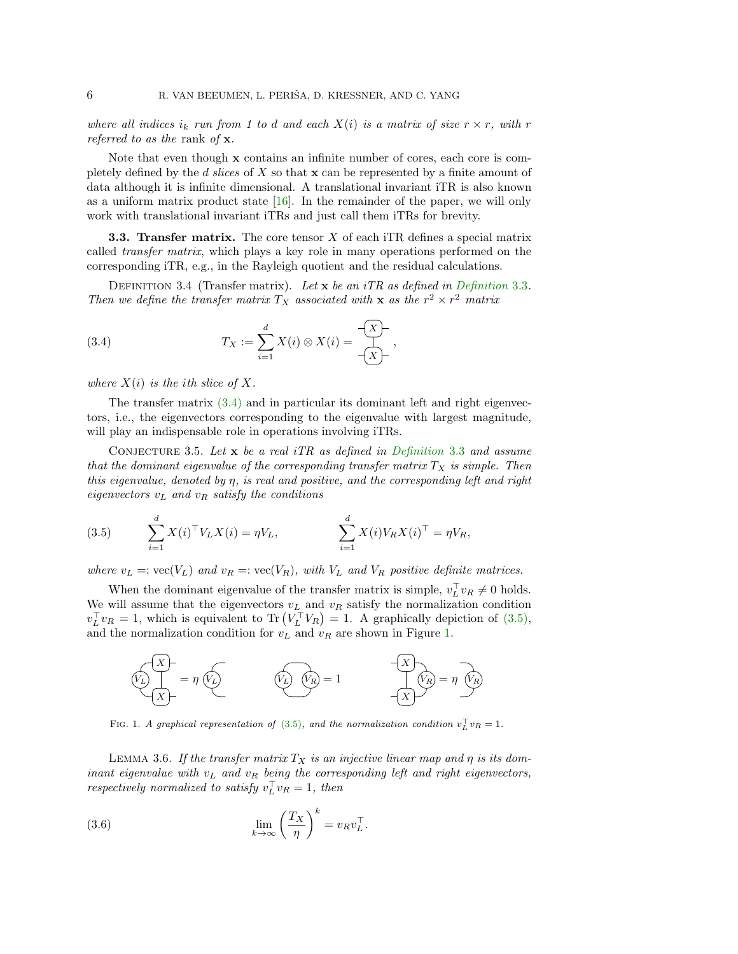where all indices i<sub>k</sub> run from 1 to d and each  $X(i)$  is a matrix of size  $r \times r$ , with r referred to as the rank of  $x$ .

Note that even though x contains an infinite number of cores, each core is completely defined by the d slices of  $X$  so that  $x$  can be represented by a finite amount of data although it is infinite dimensional. A translational invariant iTR is also known as a uniform matrix product state  $[16]$ . In the remainder of the paper, we will only work with translational invariant iTRs and just call them iTRs for brevity.

**3.3. Transfer matrix.** The core tensor  $X$  of each iTR defines a special matrix called transfer matrix, which plays a key role in many operations performed on the corresponding iTR, e.g., in the Rayleigh quotient and the residual calculations.

<span id="page-5-4"></span>DEFINITION 3.4 (Transfer matrix). Let  $\mathbf x$  be an iTR as defined in [Definition](#page-4-3) 3.3. Then we define the transfer matrix  $T_X$  associated with **x** as the  $r^2 \times r^2$  matrix

<span id="page-5-0"></span>(3.4) 
$$
T_X := \sum_{i=1}^d X(i) \otimes X(i) = \frac{-\{X\}}{-\{X\}},
$$

where  $X(i)$  is the ith slice of X.

The transfer matrix [\(3.4\)](#page-5-0) and in particular its dominant left and right eigenvectors, i.e., the eigenvectors corresponding to the eigenvalue with largest magnitude, will play an indispensable role in operations involving iTRs.

CONJECTURE 3.5. Let  $\bf{x}$  be a real iTR as defined in [Definition](#page-4-3) 3.3 and assume that the dominant eigenvalue of the corresponding transfer matrix  $T_X$  is simple. Then this eigenvalue, denoted by  $\eta$ , is real and positive, and the corresponding left and right eigenvectors  $v_L$  and  $v_R$  satisfy the conditions

<span id="page-5-1"></span>(3.5) 
$$
\sum_{i=1}^{d} X(i)^{\top} V_L X(i) = \eta V_L, \qquad \sum_{i=1}^{d} X(i) V_R X(i)^{\top} = \eta V_R,
$$

where  $v_L =: \text{vec}(V_L)$  and  $v_R =: \text{vec}(V_R)$ , with  $V_L$  and  $V_R$  positive definite matrices.

When the dominant eigenvalue of the transfer matrix is simple,  $v_L^T v_R \neq 0$  holds. We will assume that the eigenvectors  $v<sub>L</sub>$  and  $v<sub>R</sub>$  satisfy the normalization condition  $v_L^{\top} v_R = 1$ , which is equivalent to Tr  $(V_L^{\top} V_R) = 1$ . A graphically depiction of [\(3.5\),](#page-5-1) and the normalization condition for  $v<sub>L</sub>$  and  $v<sub>R</sub>$  are shown in Figure [1.](#page-5-2)

<span id="page-5-2"></span>

FIG. 1. A graphical representation of [\(3.5\)](#page-5-1), and the normalization condition  $v_L^T v_R = 1$ .

<span id="page-5-3"></span>LEMMA 3.6. If the transfer matrix  $T_X$  is an injective linear map and  $\eta$  is its dominant eigenvalue with  $v_L$  and  $v_R$  being the corresponding left and right eigenvectors, respectively normalized to satisfy  $v_L^{\top} v_R = 1$ , then

(3.6) 
$$
\lim_{k \to \infty} \left(\frac{T_X}{\eta}\right)^k = v_R v_L^{\top}.
$$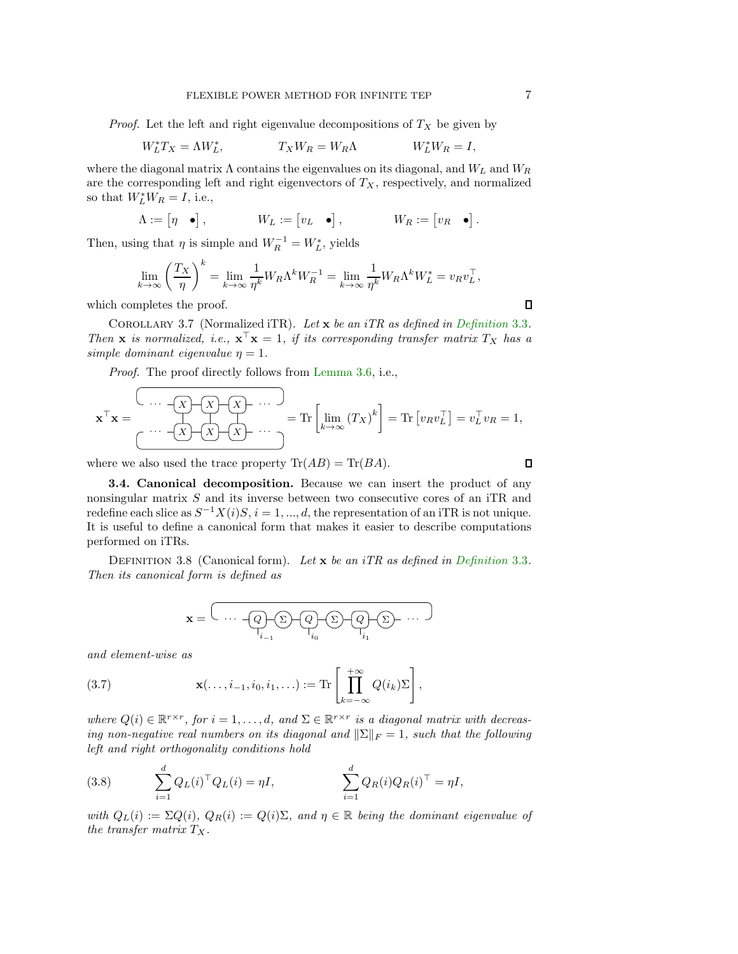*Proof.* Let the left and right eigenvalue decompositions of  $T_X$  be given by

$$
W_L^*T_X=\Lambda W_L^*,\qquad\qquad T_XW_R=W_R\Lambda\qquad\qquad W_L^*W_R=I,
$$

where the diagonal matrix  $\Lambda$  contains the eigenvalues on its diagonal, and  $W_L$  and  $W_R$ are the corresponding left and right eigenvectors of  $T_X$ , respectively, and normalized so that  $W_L^*W_R = I$ , i.e.,

$$
\Lambda := \begin{bmatrix} \eta & \bullet \end{bmatrix}, \qquad W_L := \begin{bmatrix} v_L & \bullet \end{bmatrix}, \qquad W_R := \begin{bmatrix} v_R & \bullet \end{bmatrix}.
$$

Then, using that  $\eta$  is simple and  $W_R^{-1} = W_L^*$ , yields

$$
\lim_{k \to \infty} \left(\frac{T_X}{\eta}\right)^k = \lim_{k \to \infty} \frac{1}{\eta^k} W_R \Lambda^k W_R^{-1} = \lim_{k \to \infty} \frac{1}{\eta^k} W_R \Lambda^k W_L^* = v_R v_L^\top,
$$

which completes the proof.

COROLLARY 3.7 (Normalized iTR). Let  $x$  be an iTR as defined in [Definition](#page-4-3) 3.3. Then **x** is normalized, i.e.,  $\mathbf{x}^{\top}\mathbf{x} = 1$ , if its corresponding transfer matrix  $T_X$  has a simple dominant eigenvalue  $\eta = 1$ .

Proof. The proof directly follows from [Lemma 3.6,](#page-5-3) i.e.,

$$
\mathbf{x}^{\top}\mathbf{x} = \begin{bmatrix} \dots & -\overline{(X)} - \overline{(X)} - \dots \end{bmatrix} = \text{Tr}\left[\lim_{k \to \infty} (T_X)^k\right] = \text{Tr}\left[v_R v_L^{\top}\right] = v_L^{\top} v_R = 1,
$$

where we also used the trace property  $\text{Tr}(AB) = \text{Tr}(BA)$ .

3.4. Canonical decomposition. Because we can insert the product of any nonsingular matrix S and its inverse between two consecutive cores of an iTR and redefine each slice as  $S^{-1}X(i)S, i = 1, ..., d$ , the representation of an iTR is not unique. It is useful to define a canonical form that makes it easier to describe computations performed on iTRs.

<span id="page-6-0"></span>DEFINITION 3.8 (Canonical form). Let  $\mathbf x$  be an iTR as defined in [Definition](#page-4-3) 3.3. Then its canonical form is defined as

$$
\mathbf{x} = \begin{bmatrix} \cdots & -\boxed{Q} - \boxed{\Sigma} - \boxed{Q} - \boxed{\Sigma} - \boxed{Q} - \boxed{\Sigma} - \cdots \end{bmatrix}
$$

and element-wise as

(3.7) 
$$
\mathbf{x}(\ldots, i_{-1}, i_0, i_1, \ldots) := \text{Tr}\left[\prod_{k=-\infty}^{+\infty} Q(i_k) \Sigma\right],
$$

where  $Q(i) \in \mathbb{R}^{r \times r}$ , for  $i = 1, ..., d$ , and  $\Sigma \in \mathbb{R}^{r \times r}$  is a diagonal matrix with decreasing non-negative real numbers on its diagonal and  $\|\Sigma\|_F = 1$ , such that the following left and right orthogonality conditions hold

<span id="page-6-1"></span>(3.8) 
$$
\sum_{i=1}^{d} Q_L(i)^{\top} Q_L(i) = \eta I, \qquad \sum_{i=1}^{d} Q_R(i) Q_R(i)^{\top} = \eta I,
$$

with  $Q_L(i) := \Sigma Q(i)$ ,  $Q_R(i) := Q(i)\Sigma$ , and  $\eta \in \mathbb{R}$  being the dominant eigenvalue of the transfer matrix  $T_X$ .

 $\Box$ 

 $\Box$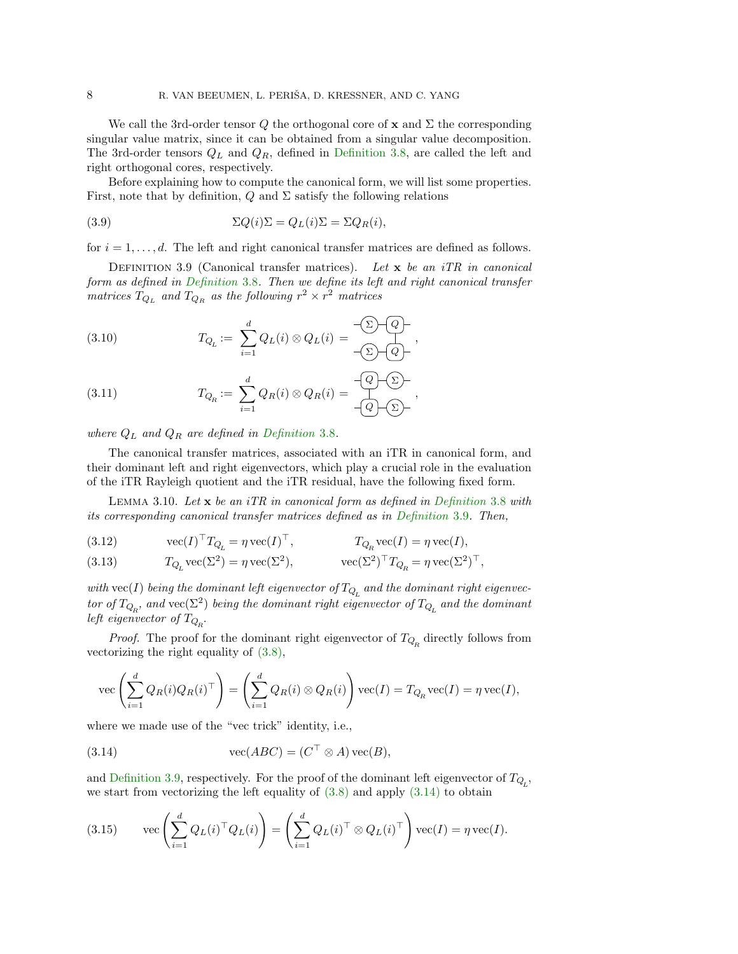We call the 3rd-order tensor Q the orthogonal core of x and  $\Sigma$  the corresponding singular value matrix, since it can be obtained from a singular value decomposition. The 3rd-order tensors  $Q_L$  and  $Q_R$ , defined in [Definition 3.8,](#page-6-0) are called the left and right orthogonal cores, respectively.

Before explaining how to compute the canonical form, we will list some properties. First, note that by definition, Q and  $\Sigma$  satisfy the following relations

(3.9) 
$$
\Sigma Q(i)\Sigma = Q_L(i)\Sigma = \Sigma Q_R(i),
$$

<span id="page-7-0"></span>for  $i = 1, \ldots, d$ . The left and right canonical transfer matrices are defined as follows.

DEFINITION 3.9 (Canonical transfer matrices). Let  $\mathbf x$  be an iTR in canonical form as defined in [Definition](#page-6-0) 3.8. Then we define its left and right canonical transfer matrices  $T_{Q_L}$  and  $T_{Q_R}$  as the following  $r^2 \times r^2$  matrices

<span id="page-7-1"></span>(3.10) 
$$
T_{Q_L} := \sum_{i=1}^d Q_L(i) \otimes Q_L(i) = \frac{-\sum - Q}{-\sum - Q},
$$

(3.11) 
$$
T_{Q_R} := \sum_{i=1}^d Q_R(i) \otimes Q_R(i) = \frac{-Q - \sum_{i=1}^d Q_i}{-Q - \sum_{i=1}^d Q_i}
$$

where  $Q_L$  and  $Q_R$  are defined in [Definition](#page-6-0) 3.8.

The canonical transfer matrices, associated with an iTR in canonical form, and their dominant left and right eigenvectors, which play a crucial role in the evaluation of the iTR Rayleigh quotient and the iTR residual, have the following fixed form.

<span id="page-7-6"></span>LEMMA 3.10. Let  $\bf{x}$  be an iTR in canonical form as defined in [Definition](#page-6-0) 3.8 with its corresponding canonical transfer matrices defined as in [Definition](#page-7-0) 3.9. Then,

<span id="page-7-4"></span> $\operatorname{vec}(I)^{\top} T_{Q_L} = \eta \operatorname{vec}(I)$ (3.12)  $\operatorname{vec}(I)^{\top} T_{Q_L} = \eta \operatorname{vec}(I)^{\top}, \qquad T_{Q_R} \operatorname{vec}(I) = \eta \operatorname{vec}(I),$ 

<span id="page-7-5"></span>(3.13) 
$$
T_{Q_L} \text{vec}(\Sigma^2) = \eta \text{vec}(\Sigma^2), \qquad \text{vec}(\Sigma^2)^\top T_{Q_R} = \eta \text{vec}(\Sigma^2)^\top,
$$

with  $\mathrm{vec}(I)$  being the dominant left eigenvector of  $T_{Q_L}$  and the dominant right eigenvector of  $T_{Q_{\rm R}}$ , and  $\text{vec}(\Sigma^2)$  being the dominant right eigenvector of  $T_{Q_{\rm L}}$  and the dominant left eigenvector of  $T_{Q_R}$ .

*Proof.* The proof for the dominant right eigenvector of  $T_{Q_R}$  directly follows from vectorizing the right equality of [\(3.8\),](#page-6-1)

$$
\operatorname{vec}\left(\sum_{i=1}^d Q_R(i) Q_R(i)^{\top}\right) = \left(\sum_{i=1}^d Q_R(i) \otimes Q_R(i)\right) \operatorname{vec}(I) = T_{Q_R} \operatorname{vec}(I) = \eta \operatorname{vec}(I),
$$

where we made use of the "vec trick" identity, i.e.,

<span id="page-7-2"></span>(3.14) 
$$
\text{vec}(ABC) = (C^\top \otimes A)\,\text{vec}(B),
$$

and [Definition 3.9,](#page-7-1) respectively. For the proof of the dominant left eigenvector of  $T_{Q_L}$ , we start from vectorizing the left equality of  $(3.8)$  and apply  $(3.14)$  to obtain

<span id="page-7-3"></span>(3.15) 
$$
\operatorname{vec}\left(\sum_{i=1}^d Q_L(i)^{\top} Q_L(i)\right) = \left(\sum_{i=1}^d Q_L(i)^{\top} \otimes Q_L(i)^{\top}\right) \operatorname{vec}(I) = \eta \operatorname{vec}(I).
$$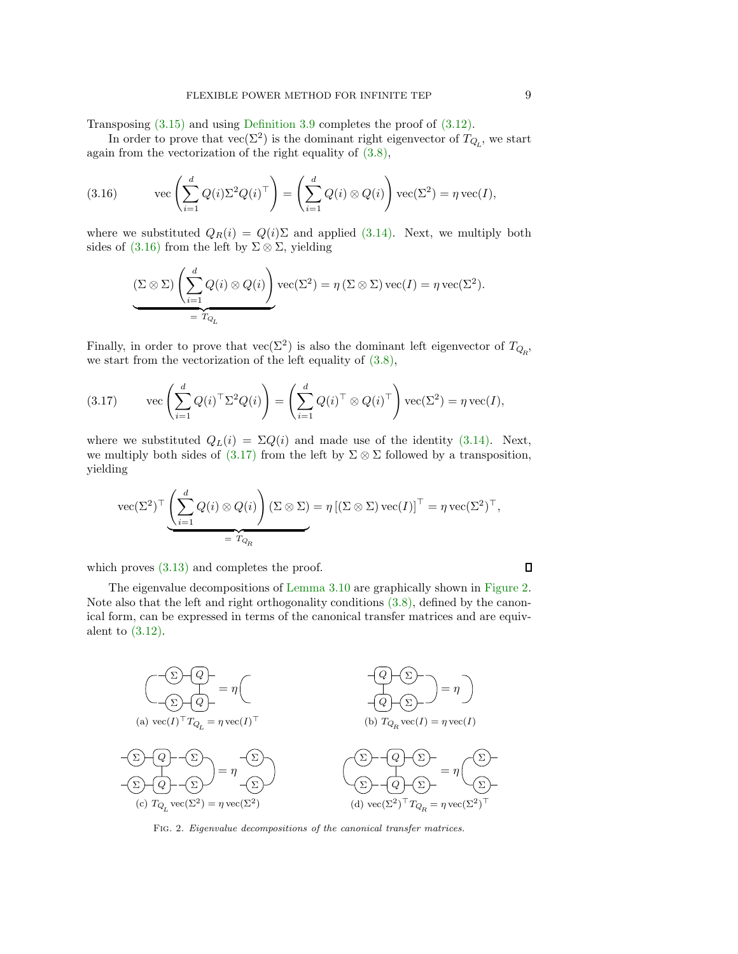Transposing [\(3.15\)](#page-7-3) and using [Definition 3.9](#page-7-1) completes the proof of [\(3.12\).](#page-7-4)

In order to prove that  $\text{vec}(\Sigma^2)$  is the dominant right eigenvector of  $T_{Q_L}$ , we start again from the vectorization of the right equality of  $(3.8)$ ,

<span id="page-8-0"></span>(3.16) 
$$
\operatorname{vec}\left(\sum_{i=1}^d Q(i) \Sigma^2 Q(i)^{\top}\right) = \left(\sum_{i=1}^d Q(i) \otimes Q(i)\right) \operatorname{vec}(\Sigma^2) = \eta \operatorname{vec}(I),
$$

where we substituted  $Q_R(i) = Q(i)\Sigma$  and applied [\(3.14\).](#page-7-2) Next, we multiply both sides of  $(3.16)$  from the left by  $\Sigma \otimes \Sigma$ , yielding

$$
\underbrace{(\Sigma \otimes \Sigma) \left( \sum_{i=1}^d Q(i) \otimes Q(i) \right)}_{= T_{Q_L}} \text{vec}(\Sigma^2) = \eta \left( \Sigma \otimes \Sigma \right) \text{vec}(I) = \eta \text{vec}(\Sigma^2).
$$

Finally, in order to prove that  $\text{vec}(\Sigma^2)$  is also the dominant left eigenvector of  $T_{Q_R}$ , we start from the vectorization of the left equality of [\(3.8\),](#page-6-1)

<span id="page-8-1"></span>(3.17) 
$$
\operatorname{vec}\left(\sum_{i=1}^d Q(i)^{\top} \Sigma^2 Q(i)\right) = \left(\sum_{i=1}^d Q(i)^{\top} \otimes Q(i)^{\top}\right) \operatorname{vec}(\Sigma^2) = \eta \operatorname{vec}(I),
$$

where we substituted  $Q_L(i) = \Sigma Q(i)$  and made use of the identity [\(3.14\).](#page-7-2) Next, we multiply both sides of  $(3.17)$  from the left by  $\Sigma \otimes \Sigma$  followed by a transposition, yielding

$$
\text{vec}(\Sigma^2)^\top \underbrace{\left(\sum_{i=1}^d Q(i) \otimes Q(i)\right) (\Sigma \otimes \Sigma)}_{= T_{Q_R}} = \eta \left[ (\Sigma \otimes \Sigma) \text{vec}(I) \right]^\top = \eta \text{vec}(\Sigma^2)^\top,
$$

which proves  $(3.13)$  and completes the proof.

 $\Box$ 

The eigenvalue decompositions of [Lemma 3.10](#page-7-6) are graphically shown in [Figure 2.](#page-8-2) Note also that the left and right orthogonality conditions [\(3.8\),](#page-6-1) defined by the canonical form, can be expressed in terms of the canonical transfer matrices and are equivalent to [\(3.12\).](#page-7-4)

<span id="page-8-2"></span>

Fig. 2. Eigenvalue decompositions of the canonical transfer matrices.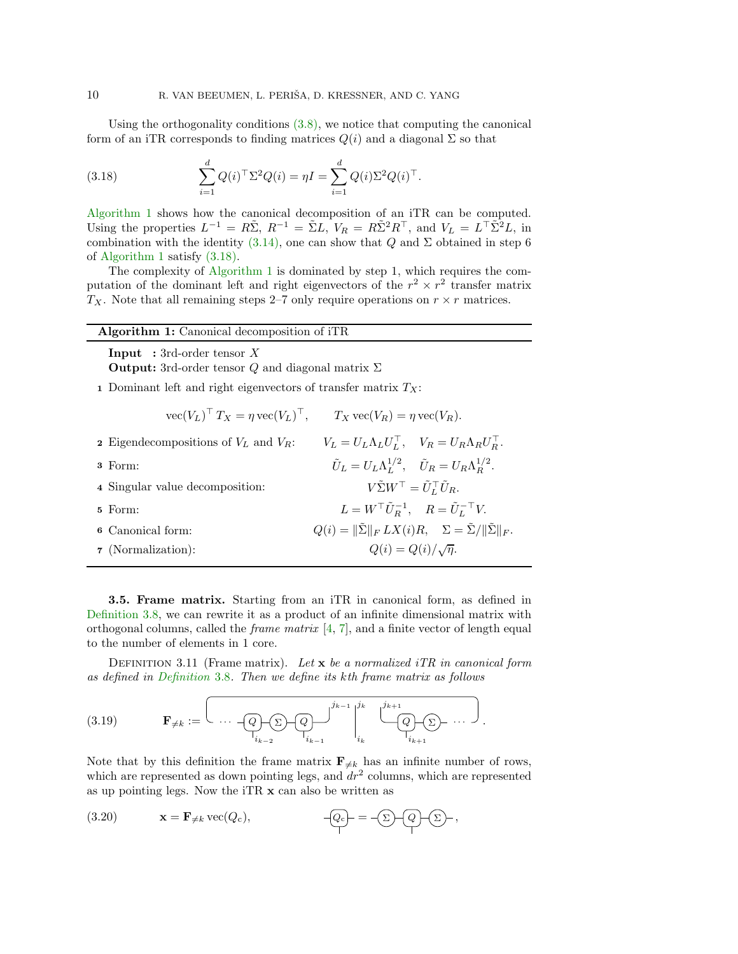Using the orthogonality conditions  $(3.8)$ , we notice that computing the canonical form of an iTR corresponds to finding matrices  $Q(i)$  and a diagonal  $\Sigma$  so that

<span id="page-9-1"></span>(3.18) 
$$
\sum_{i=1}^{d} Q(i)^{\top} \Sigma^{2} Q(i) = \eta I = \sum_{i=1}^{d} Q(i) \Sigma^{2} Q(i)^{\top}.
$$

[Algorithm 1](#page-9-0) shows how the canonical decomposition of an iTR can be computed. Using the properties  $L^{-1} = R\tilde{\Sigma}$ ,  $R^{-1} = \tilde{\Sigma}L$ ,  $V_R = R\tilde{\Sigma}^2 R^{\top}$ , and  $V_L = L^{\top} \tilde{\Sigma}^2 L$ , in combination with the identity [\(3.14\),](#page-7-2) one can show that Q and  $\Sigma$  obtained in step 6 of [Algorithm 1](#page-9-0) satisfy [\(3.18\).](#page-9-1)

The complexity of [Algorithm 1](#page-9-0) is dominated by step 1, which requires the computation of the dominant left and right eigenvectors of the  $r^2 \times r^2$  transfer matrix  $T_X$ . Note that all remaining steps 2–7 only require operations on  $r \times r$  matrices.

<span id="page-9-0"></span>

| Algorithm 1: Canonical decomposition of iTR                                                           |                                                                                                                                            |  |  |  |  |  |
|-------------------------------------------------------------------------------------------------------|--------------------------------------------------------------------------------------------------------------------------------------------|--|--|--|--|--|
| <b>Input</b> : 3rd-order tensor $X$<br><b>Output:</b> 3rd-order tensor Q and diagonal matrix $\Sigma$ |                                                                                                                                            |  |  |  |  |  |
| 1 Dominant left and right eigenvectors of transfer matrix $T_X$ :                                     |                                                                                                                                            |  |  |  |  |  |
|                                                                                                       | $\operatorname{vec}(V_L)^\top T_X = \eta \operatorname{vec}(V_L)^\top, \qquad T_X \operatorname{vec}(V_R) = \eta \operatorname{vec}(V_R).$ |  |  |  |  |  |
| <b>2</b> Eigendecompositions of $V_L$ and $V_R$ :                                                     | $V_L = U_L \Lambda_L U_L^{\top}, \quad V_R = U_R \Lambda_R U_R^{\top}.$                                                                    |  |  |  |  |  |
| 3 Form:                                                                                               | $\tilde{U}_L = U_L \Lambda_I^{1/2}, \quad \tilde{U}_R = U_R \Lambda_R^{1/2}.$                                                              |  |  |  |  |  |
| 4 Singular value decomposition:                                                                       | $V\tilde{\Sigma}W^{\top} = \tilde{U}_I^{\top}\tilde{U}_R.$                                                                                 |  |  |  |  |  |
| 5 Form:                                                                                               | $L = W^\top \tilde{U}_R^{-1}, \quad R = \tilde{U}_L^{-\top} V.$                                                                            |  |  |  |  |  |
| Canonical form:<br>6                                                                                  | $Q(i) = \ \tilde{\Sigma}\ _F L X(i)R, \quad \Sigma = \tilde{\Sigma}/\ \tilde{\Sigma}\ _F.$                                                 |  |  |  |  |  |
| 7 (Normalization):                                                                                    | $Q(i) = Q(i)/\sqrt{\eta}.$                                                                                                                 |  |  |  |  |  |

3.5. Frame matrix. Starting from an iTR in canonical form, as defined in [Definition 3.8,](#page-6-0) we can rewrite it as a product of an infinite dimensional matrix with orthogonal columns, called the *frame matrix*  $[4, 7]$  $[4, 7]$  $[4, 7]$ , and a finite vector of length equal to the number of elements in 1 core.

<span id="page-9-3"></span>DEFINITION 3.11 (Frame matrix). Let  $x$  be a normalized iTR in canonical form as defined in [Definition](#page-6-0) 3.8. Then we define its kth frame matrix as follows

$$
(3.19) \quad \mathbf{F}_{\neq k} := \begin{bmatrix} 0 & \cdots & 0 \\ 0 & \cdots & 0 \\ 0 & 0 & 0 \end{bmatrix} \begin{bmatrix} 0 & \cdots & 0 \\ 0 & 0 & 0 \\ 0 & 0 & 0 \end{bmatrix}^{j_{k-1}} \begin{bmatrix} j_k & \cdots & \cdots & 0 \\ 0 & \cdots & \cdots & \cdots \end{bmatrix}.
$$

Note that by this definition the frame matrix  $\mathbf{F}_{\neq k}$  has an infinite number of rows, which are represented as down pointing legs, and  $dr^2$  columns, which are represented as up pointing legs. Now the iTR x can also be written as

<span id="page-9-2"></span>(3.20) 
$$
\mathbf{x} = \mathbf{F}_{\neq k} \operatorname{vec}(Q_{c}), \qquad \qquad \overline{\mathcal{A}(Q_{c})} = \overline{\mathcal{A}(Q)} \cdot \overline{\mathcal{A}(Q)} \cdot \overline{\mathcal{A}(Q)}.
$$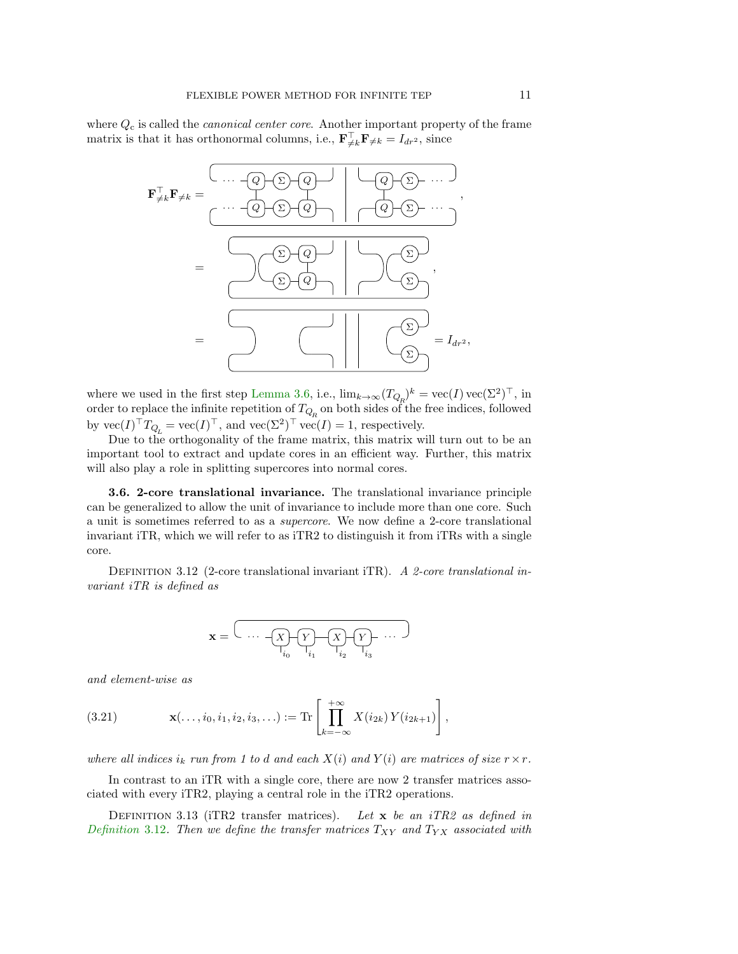where  $Q_c$  is called the *canonical center core*. Another important property of the frame matrix is that it has orthonormal columns, i.e.,  $\mathbf{F}_{\neq k}^{\top} \mathbf{F}_{\neq k} = I_{dr^2}$ , since



where we used in the first step [Lemma 3.6,](#page-5-3) i.e.,  $\lim_{k\to\infty} (T_{Q_R})^k = \text{vec}(I) \text{vec}(\Sigma^2)^\top$ , in order to replace the infinite repetition of  $T_{Q_R}$  on both sides of the free indices, followed by  $\text{vec}(I)^\top T_{Q_L} = \text{vec}(I)^\top$ , and  $\text{vec}(\Sigma^2)^\top \text{vec}(I) = 1$ , respectively.

Due to the orthogonality of the frame matrix, this matrix will turn out to be an important tool to extract and update cores in an efficient way. Further, this matrix will also play a role in splitting supercores into normal cores.

3.6. 2-core translational invariance. The translational invariance principle can be generalized to allow the unit of invariance to include more than one core. Such a unit is sometimes referred to as a supercore. We now define a 2-core translational invariant iTR, which we will refer to as iTR2 to distinguish it from iTRs with a single core.

<span id="page-10-0"></span>DEFINITION 3.12 (2-core translational invariant iTR). A 2-core translational invariant iTR is defined as

$$
\mathbf{x} = \begin{bmatrix} \cdots & -\boxed{X} & \boxed{Y} & \boxed{X} & \boxed{Y} & \cdots \end{bmatrix}
$$

and element-wise as

(3.21) 
$$
\mathbf{x}(\ldots, i_0, i_1, i_2, i_3, \ldots) := \text{Tr}\left[\prod_{k=-\infty}^{+\infty} X(i_{2k}) Y(i_{2k+1})\right],
$$

where all indices  $i_k$  run from 1 to d and each  $X(i)$  and  $Y(i)$  are matrices of size  $r \times r$ .

<span id="page-10-1"></span>In contrast to an iTR with a single core, there are now 2 transfer matrices associated with every iTR2, playing a central role in the iTR2 operations.

DEFINITION 3.13 (iTR2 transfer matrices). Let  $x$  be an iTR2 as defined in [Definition](#page-10-0) 3.12. Then we define the transfer matrices  $T_{XY}$  and  $T_{YX}$  associated with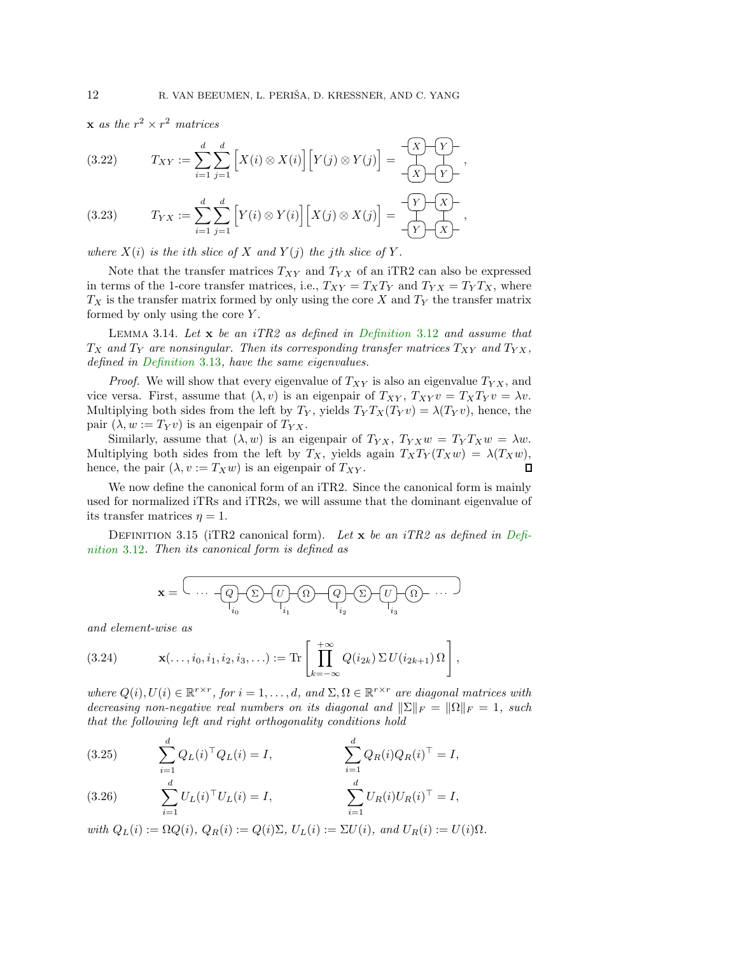$\mathbf{x}$  as the  $r^2 \times r^2$  matrices

(3.22) 
$$
T_{XY} := \sum_{i=1}^{d} \sum_{j=1}^{d} \left[ X(i) \otimes X(i) \right] \left[ Y(j) \otimes Y(j) \right] = \frac{-X - Y}{-X - Y},
$$

$$
(3.23) \t T_{YX} := \sum_{i=1}^{\infty} \sum_{j=1}^{\infty} \left[ Y(i) \otimes Y(i) \right] \left[ X(j) \otimes X(j) \right] = \frac{1}{-Y} \left[ \begin{array}{c} \Delta \\ \Delta \end{array} \right],
$$

where  $X(i)$  is the ith slice of X and  $Y(j)$  the jth slice of Y.

Note that the transfer matrices  $T_{XY}$  and  $T_{YX}$  of an iTR2 can also be expressed in terms of the 1-core transfer matrices, i.e.,  $T_{XY} = T_X T_Y$  and  $T_{YX} = T_Y T_X$ , where  $T_X$  is the transfer matrix formed by only using the core X and  $T_Y$  the transfer matrix formed by only using the core Y .

LEMMA 3.14. Let  $\mathbf x$  be an iTR2 as defined in [Definition](#page-10-0) 3.12 and assume that  $T_X$  and  $T_Y$  are nonsingular. Then its corresponding transfer matrices  $T_{XY}$  and  $T_{YX}$ , defined in [Definition](#page-10-1) 3.13, have the same eigenvalues.

*Proof.* We will show that every eigenvalue of  $T_{XY}$  is also an eigenvalue  $T_{YX}$ , and vice versa. First, assume that  $(\lambda, v)$  is an eigenpair of  $T_{XY}$ ,  $T_{XY}v = T_XT_Yv = \lambda v$ . Multiplying both sides from the left by  $T_Y$ , yields  $T_Y T_X(T_Y v) = \lambda(T_Y v)$ , hence, the pair  $(\lambda, w := T_Y v)$  is an eigenpair of  $T_{YX}$ .

Similarly, assume that  $(\lambda, w)$  is an eigenpair of  $T_{YX}$ ,  $T_{YX}w = T_Y T_X w = \lambda w$ . Multiplying both sides from the left by  $T_X$ , yields again  $T_XT_Y(T_Xw) = \lambda(T_Xw)$ , hence, the pair  $(\lambda, v) = T_X w$  is an eigenpair of  $T_{XY}$ .  $\Box$ 

We now define the canonical form of an iTR2. Since the canonical form is mainly used for normalized iTRs and iTR2s, we will assume that the dominant eigenvalue of its transfer matrices  $\eta = 1$ .

<span id="page-11-0"></span>DEFINITION 3.15 (iTR2 canonical form). Let  $x$  be an iTR2 as defined in Definition 3.12[. Then its canonical form is defined as](#page-10-0)

$$
\mathbf{x} = \begin{bmatrix} \cdots & -\underset{i_0}{\bigoplus} \underset{i_1}{\bigoplus} \underset{i_1}{\bigoplus} \underset{i_2}{\bigoplus} \underset{i_2}{\bigoplus} \underset{i_3}{\bigoplus} \underset{i_3}{\bigoplus} \underset{\cdots} {\bigoplus} \underset{i_2}{\bigoplus} \underset{\cdots} {\bigoplus} \underset{\cdots}
$$

and element-wise as

(3.24) 
$$
\mathbf{x}(\ldots,i_0,i_1,i_2,i_3,\ldots) := \mathrm{Tr}\left[\prod_{k=-\infty}^{+\infty} Q(i_{2k}) \Sigma U(i_{2k+1}) \Omega\right],
$$

where  $Q(i)$ ,  $U(i) \in \mathbb{R}^{r \times r}$ , for  $i = 1, ..., d$ , and  $\Sigma$ ,  $\Omega \in \mathbb{R}^{r \times r}$  are diagonal matrices with decreasing non-negative real numbers on its diagonal and  $\|\Sigma\|_F = \|\Omega\|_F = 1$ , such that the following left and right orthogonality conditions hold

(3.25) 
$$
\sum_{i=1}^{d} Q_L(i)^{\top} Q_L(i) = I, \qquad \sum_{i=1}^{d} Q_R(i) Q_R(i)^{\top} = I,
$$

(3.26) 
$$
\sum_{i=1}^{d} U_L(i)^{\top} U_L(i) = I, \qquad \sum_{i=1}^{d} U_R(i) U_R(i)^{\top} = I,
$$

with  $Q_L(i) := \Omega Q(i)$ ,  $Q_R(i) := Q(i)\Sigma$ ,  $U_L(i) := \Sigma U(i)$ , and  $U_R(i) := U(i)\Omega$ .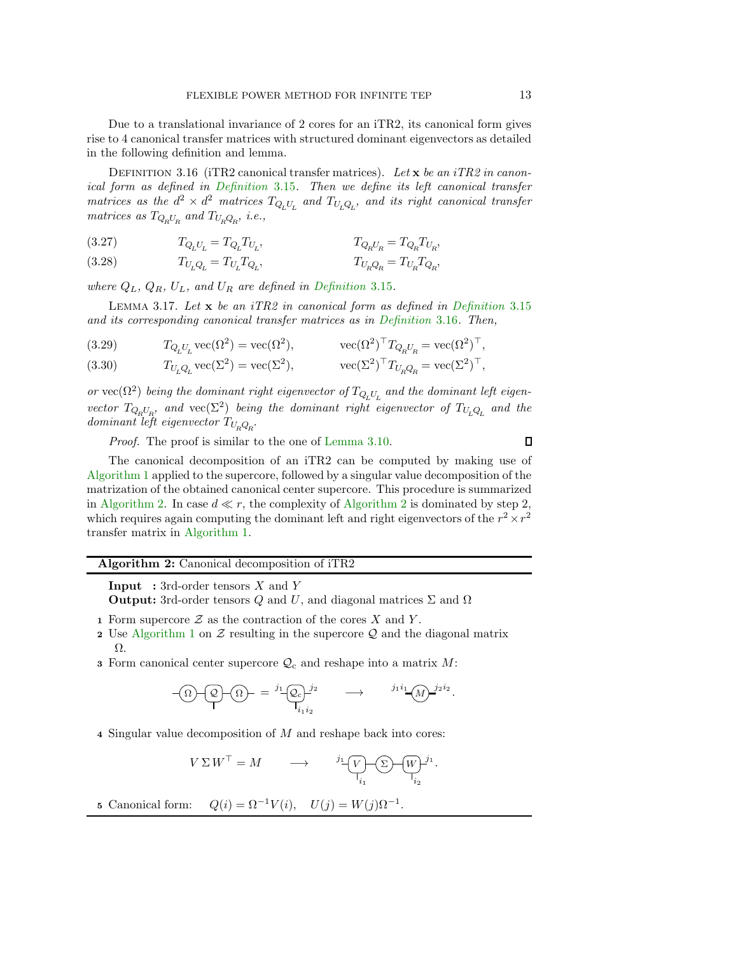Due to a translational invariance of 2 cores for an iTR2, its canonical form gives rise to 4 canonical transfer matrices with structured dominant eigenvectors as detailed in the following definition and lemma.

<span id="page-12-0"></span>DEFINITION 3.16 (iTR2 canonical transfer matrices). Let  $x$  be an iTR2 in canonical form as defined in [Definition](#page-11-0) 3.15. Then we define its left canonical transfer matrices as the  $d^2 \times d^2$  matrices  $T_{Q_LU_L}$  and  $T_{U_LQ_L}$ , and its right canonical transfer matrices as  $T_{Q_RU_R}$  and  $T_{U_RQ_R}$ , i.e.,

$$
(3.27) \hspace{3.1em} T_{Q_LU_L}=T_{Q_L}T_{U_L}, \hspace{3.1em} T_{Q_RU_R}=T_{Q_R}T_{U_R},
$$

(3.28) 
$$
T_{U_LQ_L} = T_{U_L}T_{Q_L}, \qquad T_{U_RQ_R} = T_{U_R}T_{Q_R},
$$

where  $Q_L$ ,  $Q_R$ ,  $U_L$ , and  $U_R$  are defined in [Definition](#page-11-0) 3.15.

LEMMA 3.17. Let  $\mathbf x$  be an iTR2 in canonical form as defined in [Definition](#page-11-0) 3.15 and its corresponding canonical transfer matrices as in [Definition](#page-12-0) 3.16. Then,

(3.29) 
$$
T_{Q_L U_L} \text{vec}(\Omega^2) = \text{vec}(\Omega^2), \qquad \text{vec}(\Omega^2)^\top T_{Q_R U_R} = \text{vec}(\Omega^2)^\top, (3.30) \qquad T_{U_L Q_L} \text{vec}(\Sigma^2) = \text{vec}(\Sigma^2), \qquad \text{vec}(\Sigma^2)^\top T_{U_R Q_R} = \text{vec}(\Sigma^2)^\top,
$$

or vec( $\Omega^2$ ) being the dominant right eigenvector of  $T_{Q_L U_L}$  and the dominant left eigenvector  $T_{Q_RU_R}$ , and vec $(\Sigma^2)$  being the dominant right eigenvector of  $T_{U_LQ_L}$  and the

Proof. The proof is similar to the one of [Lemma 3.10.](#page-7-6)

 $\Box$ 

.

The canonical decomposition of an iTR2 can be computed by making use of [Algorithm 1](#page-9-0) applied to the supercore, followed by a singular value decomposition of the matrization of the obtained canonical center supercore. This procedure is summarized in [Algorithm 2.](#page-12-1) In case  $d \ll r$ , the complexity of [Algorithm 2](#page-12-1) is dominated by step 2, which requires again computing the dominant left and right eigenvectors of the  $r^2 \times r^2$ transfer matrix in [Algorithm 1.](#page-9-0)

## <span id="page-12-1"></span>Algorithm 2: Canonical decomposition of iTR2

**Input** : 3rd-order tensors  $X$  and  $Y$ 

dominant left eigenvector  $T_{U_RQ_R}$ .

**Output:** 3rd-order tensors Q and U, and diagonal matrices  $\Sigma$  and  $\Omega$ 

- 1 Form supercore  $\mathcal Z$  as the contraction of the cores X and Y.
- 2 Use [Algorithm 1](#page-9-0) on  $\mathcal Z$  resulting in the supercore  $\mathcal Q$  and the diagonal matrix Ω.
- **3** Form canonical center supercore  $\mathcal{Q}_c$  and reshape into a matrix M:

Ω Q Ω = Q<sup>c</sup> j1 i1i<sup>2</sup> <sup>j</sup><sup>2</sup> −→ <sup>M</sup> j1i<sup>1</sup> j2i<sup>2</sup>

<sup>4</sup> Singular value decomposition of M and reshape back into cores:

$$
V \, \Sigma \, W^\top = M \qquad \longrightarrow \qquad \overset{j_1}{\longrightarrow} \underbrace{V \choose V_{i_1}} \underbrace{\left(\sum\limits_{l_1} \underbrace{\left(W\right)}_{l_2}\right)^{j_1}}.
$$

5 Canonical form:  $Q(i) = \Omega^{-1} V(i)$ ,  $U(j) = W(j)\Omega^{-1}$ .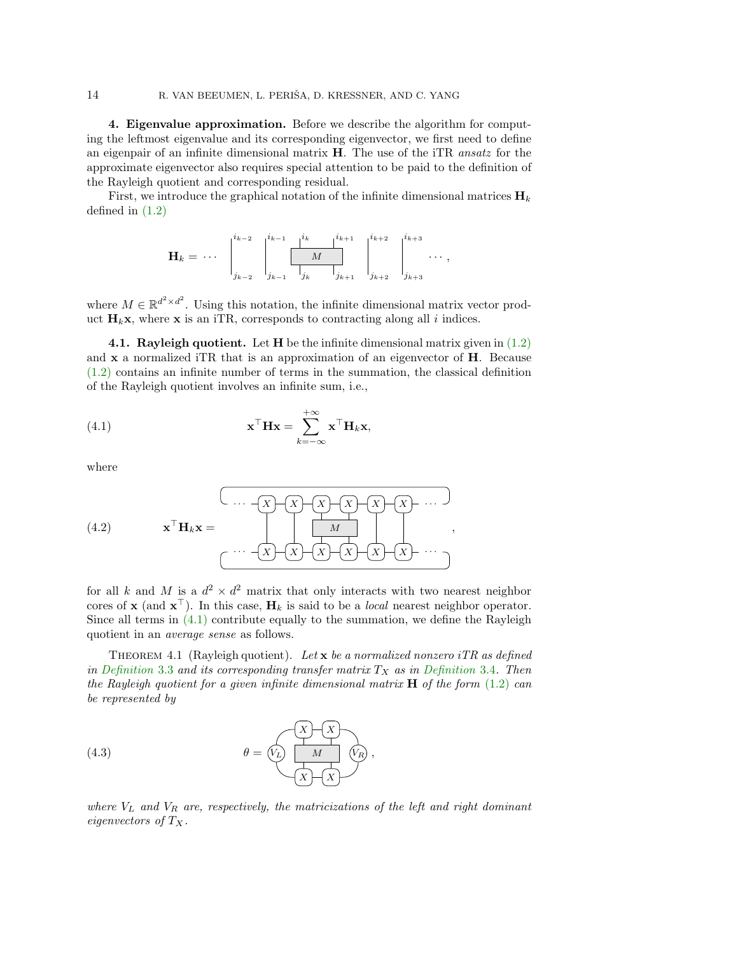<span id="page-13-0"></span>4. Eigenvalue approximation. Before we describe the algorithm for computing the leftmost eigenvalue and its corresponding eigenvector, we first need to define an eigenpair of an infinite dimensional matrix H. The use of the iTR ansatz for the approximate eigenvector also requires special attention to be paid to the definition of the Rayleigh quotient and corresponding residual.

First, we introduce the graphical notation of the infinite dimensional matrices  $\mathbf{H}_k$ defined in [\(1.2\)](#page-0-1)

$$
\mathbf{H}_{k} = \cdots \quad \begin{vmatrix} i_{k-2} & i_{k-1} & i_k & i_{k+1} \\ \vdots & \vdots & \vdots & \vdots \\ j_{k-2} & j_{k-1} & j_k & j_{k+1} & j_{k+2} & j_{k+3} \end{vmatrix}^{i_{k+2}} \quad \begin{vmatrix} i_{k+3} & i_{k+3} & i_{k+4} \\ \vdots & \vdots & \vdots \\ j_{k+2} & j_{k+3} & j_{k+4} & j_{k+5} \end{vmatrix}^{i_{k+4}}
$$

where  $M \in \mathbb{R}^{d^2 \times d^2}$ . Using this notation, the infinite dimensional matrix vector product  $\mathbf{H}_k\mathbf{x}$ , where x is an iTR, corresponds to contracting along all i indices.

**4.1. Rayleigh quotient.** Let  $H$  be the infinite dimensional matrix given in  $(1.2)$ and  $x$  a normalized iTR that is an approximation of an eigenvector of  $H$ . Because [\(1.2\)](#page-0-1) contains an infinite number of terms in the summation, the classical definition of the Rayleigh quotient involves an infinite sum, i.e.,

<span id="page-13-1"></span>(4.1) 
$$
\mathbf{x}^{\top} \mathbf{H} \mathbf{x} = \sum_{k=-\infty}^{+\infty} \mathbf{x}^{\top} \mathbf{H}_k \mathbf{x},
$$

where

<span id="page-13-2"></span>(4.2) 
$$
\mathbf{x}^{\top} \mathbf{H}_{k} \mathbf{x} = \begin{bmatrix} \cdots & -\overline{X} & \overline{X} & \overline{X} & \overline{X} & \overline{X} & \cdots \end{bmatrix} \qquad (4.2) \qquad \mathbf{x}^{\top} \mathbf{H}_{k} \mathbf{x} = \begin{bmatrix} \cdots & -\overline{X} & \overline{X} & \overline{X} & \overline{X} & \cdots \end{bmatrix} \qquad (4.2) \qquad \mathbf{x}^{\top} \mathbf{x} = \begin{bmatrix} \overline{X} & \overline{X} & \overline{X} & \overline{X} & \cdots \end{bmatrix}
$$

for all k and M is a  $d^2 \times d^2$  matrix that only interacts with two nearest neighbor cores of **x** (and  $\mathbf{x}^{\top}$ ). In this case,  $\mathbf{H}_k$  is said to be a *local* nearest neighbor operator. Since all terms in  $(4.1)$  contribute equally to the summation, we define the Rayleigh quotient in an average sense as follows.

<span id="page-13-3"></span>THEOREM 4.1 (Rayleigh quotient). Let  $x$  be a normalized nonzero iTR as defined in [Definition](#page-5-4) 3.3 and its corresponding transfer matrix  $T_X$  as in Definition 3.4. Then the Rayleigh quotient for a given infinite dimensional matrix  $H$  of the form  $(1.2)$  can be represented by

(4.3) 
$$
\theta = \underbrace{\begin{pmatrix} X & X \\ V_L & M \end{pmatrix}}_{\text{max}} \underbrace{\begin{pmatrix} Y & X \\ W & W \end{pmatrix}}_{\text{max}},
$$

where  $V_L$  and  $V_R$  are, respectively, the matricizations of the left and right dominant eigenvectors of  $T_X$ .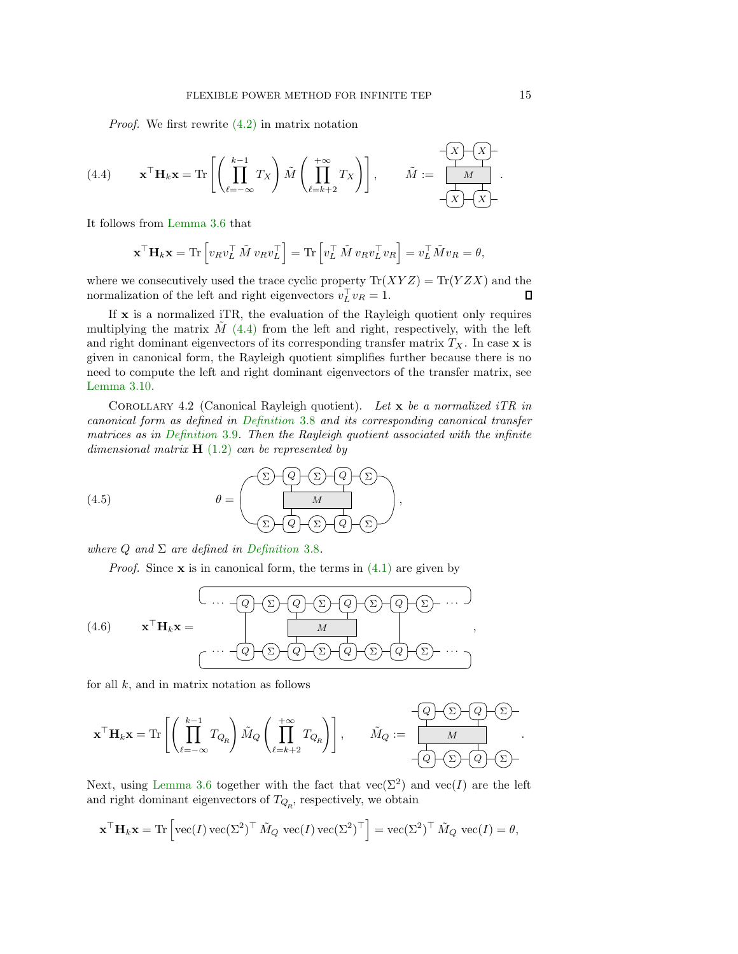Proof. We first rewrite [\(4.2\)](#page-13-2) in matrix notation

<span id="page-14-0"></span>(4.4) 
$$
\mathbf{x}^{\top} \mathbf{H}_{k} \mathbf{x} = \text{Tr}\left[\left(\prod_{\ell=-\infty}^{k-1} T_{X}\right) \tilde{M}\left(\prod_{\ell=k+2}^{+\infty} T_{X}\right)\right], \qquad \tilde{M} := \frac{\begin{array}{c} \begin{array}{c} \begin{array}{c} \begin{array}{c} \begin{array}{c} \begin{array}{c} \begin{array}{c} \begin{array}{c} \begin{array}{c} \begin{array}{c} \end{array} \\ \begin{array}{c} \end{array} \\ \begin{array}{c} \end{array} \\ \end{array} \\ \begin{array}{c} \begin{array}{c} \begin{array}{c} \end{array} \\ \begin{array}{c} \end{array} \\ \end{array} \\ \end{array} \\ \begin{array}{c} \begin{array}{c} \begin{array}{c} \begin{array}{c} \end{array} \\ \end{array} \\ \end{array} \end{array} \end{array} \end{array} \end{array} \end{array} \end{array} \end{array}
$$

It follows from [Lemma 3.6](#page-5-3) that

$$
\mathbf{x}^{\top} \mathbf{H}_k \mathbf{x} = \text{Tr} \left[ v_R v_L^{\top} \tilde{M} v_R v_L^{\top} \right] = \text{Tr} \left[ v_L^{\top} \tilde{M} v_R v_L^{\top} v_R \right] = v_L^{\top} \tilde{M} v_R = \theta,
$$

where we consecutively used the trace cyclic property  $\text{Tr}(XYZ) = \text{Tr}(YZX)$  and the normalization of the left and right eigenvectors  $v<sub>L</sub>^{\top} v<sub>R</sub> = 1$ . П

If x is a normalized iTR, the evaluation of the Rayleigh quotient only requires multiplying the matrix  $\tilde{M}$  [\(4.4\)](#page-14-0) from the left and right, respectively, with the left and right dominant eigenvectors of its corresponding transfer matrix  $T_X$ . In case x is given in canonical form, the Rayleigh quotient simplifies further because there is no need to compute the left and right dominant eigenvectors of the transfer matrix, see [Lemma 3.10.](#page-7-6)

COROLLARY 4.2 (Canonical Rayleigh quotient). Let  $x$  be a normalized iTR in canonical form as defined in [Definition](#page-6-0) 3.8 and its corresponding canonical transfer matrices as in [Definition](#page-7-0) 3.9. Then the Rayleigh quotient associated with the infinite dimensional matrix  $H(1.2)$  $H(1.2)$  can be represented by

(4.5) 
$$
\theta = \left(\begin{array}{c}\n\boxed{\sum Q - \boxed{\sum Q - \boxed{Q}} - \boxed{\sum p}} \\
M \\
\boxed{\sum Q - \boxed{Q}} - \boxed{Q} - \boxed{\sum p}\n\end{array}\right),
$$

where  $Q$  and  $\Sigma$  are defined in [Definition](#page-6-0) 3.8.

<span id="page-14-1"></span>*Proof.* Since  $x$  is in canonical form, the terms in  $(4.1)$  are given by

(4.6) 
$$
\mathbf{x}^{\top} \mathbf{H}_{k} \mathbf{x} = \begin{bmatrix} \mathbf{0} & \mathbf{0} & \mathbf{0} & \mathbf{0} & \mathbf{0} & \mathbf{0} & \mathbf{0} & \mathbf{0} & \mathbf{0} & \mathbf{0} & \mathbf{0} & \mathbf{0} & \mathbf{0} & \mathbf{0} & \mathbf{0} & \mathbf{0} & \mathbf{0} & \mathbf{0} & \mathbf{0} & \mathbf{0} & \mathbf{0} & \mathbf{0} & \mathbf{0} & \mathbf{0} & \mathbf{0} & \mathbf{0} & \mathbf{0} & \mathbf{0} & \mathbf{0} & \mathbf{0} & \mathbf{0} & \mathbf{0} & \mathbf{0} & \mathbf{0} & \mathbf{0} & \mathbf{0} & \mathbf{0} & \mathbf{0} & \mathbf{0} & \mathbf{0} & \mathbf{0} & \mathbf{0} & \mathbf{0} & \mathbf{0} & \mathbf{0} & \mathbf{0} & \mathbf{0} & \mathbf{0} & \mathbf{0} & \mathbf{0} & \mathbf{0} & \mathbf{0} & \mathbf{0} & \mathbf{0} & \mathbf{0} & \mathbf{0} & \mathbf{0} & \mathbf{0} & \mathbf{0} & \mathbf{0} & \mathbf{0} & \mathbf{0} & \mathbf{0} & \mathbf{0} & \mathbf{0} & \mathbf{0} & \mathbf{0} & \mathbf{0} & \mathbf{0} & \mathbf{0} & \mathbf{0} & \mathbf{0} & \mathbf{0} & \mathbf{0} & \mathbf{0} & \mathbf{0} & \mathbf{0} & \mathbf{0} & \mathbf{0} & \mathbf{0} & \mathbf{0} & \mathbf{0} & \mathbf{0} & \mathbf{0} & \mathbf{0} & \mathbf{0} & \mathbf{0} & \mathbf{0} & \mathbf{0} & \mathbf{0} & \mathbf{0} & \mathbf{0} & \mathbf{0} & \mathbf{0} & \mathbf{0} & \mathbf{0} & \mathbf{0} & \mathbf{0} & \mathbf{0} & \mathbf{0} & \mathbf{0} & \mathbf{0} & \mathbf{0} & \mathbf{0
$$

for all  $k$ , and in matrix notation as follows

$$
\mathbf{x}^{\top} \mathbf{H}_k \mathbf{x} = \text{Tr}\left[ \left( \prod_{\ell=-\infty}^{k-1} T_{Q_R} \right) \tilde{M}_Q \left( \prod_{\ell=k+2}^{+\infty} T_{Q_R} \right) \right], \qquad \tilde{M}_Q := \frac{-Q - \sum -Q - \sum -Q}{M}.
$$

Next, using [Lemma 3.6](#page-5-3) together with the fact that  $\text{vec}(\Sigma^2)$  and  $\text{vec}(I)$  are the left and right dominant eigenvectors of  $T_{Q_R}$ , respectively, we obtain

$$
\mathbf{x}^{\top} \mathbf{H}_k \mathbf{x} = \text{Tr} \left[ \text{vec}(I) \text{vec}(\Sigma^2)^{\top} \tilde{M}_Q \text{vec}(I) \text{vec}(\Sigma^2)^{\top} \right] = \text{vec}(\Sigma^2)^{\top} \tilde{M}_Q \text{vec}(I) = \theta,
$$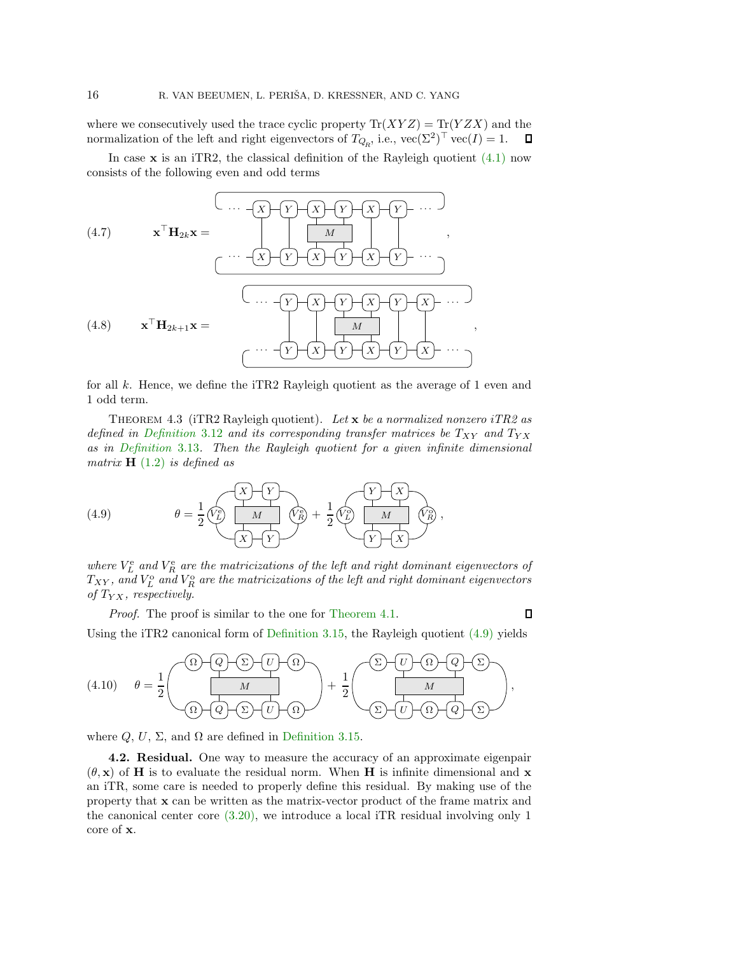where we consecutively used the trace cyclic property  $\text{Tr}(XYZ) = \text{Tr}(YZX)$  and the normalization of the left and right eigenvectors of  $T_{Q_R}$ , i.e.,  $\text{vec}(\Sigma^2)^\top \text{vec}(I) = 1$ .  $\Box$ 

In case  $x$  is an iTR2, the classical definition of the Rayleigh quotient  $(4.1)$  now consists of the following even and odd terms

(4.7) 
$$
\mathbf{x}^{\top} \mathbf{H}_{2k} \mathbf{x} = \begin{bmatrix} \mathbf{w} & \mathbf{w} \\ \mathbf{w} & \mathbf{w} \\ \mathbf{w} & \mathbf{w} \end{bmatrix} \mathbf{x}^{\top} \mathbf{H}_{2k} \mathbf{x} = \begin{bmatrix} \mathbf{w} & \mathbf{w} \\ \mathbf{w} & \mathbf{w} \\ \mathbf{w} & \mathbf{w} \end{bmatrix} \mathbf{x}^{\top} \mathbf{H}_{2k+1} \mathbf{x} = \begin{bmatrix} \mathbf{w} & \mathbf{w} \\ \mathbf{w} & \mathbf{w} \\ \mathbf{w} & \mathbf{w} \end{bmatrix} \mathbf{x}^{\top} \mathbf{H}_{2k+1} \mathbf{x} = \begin{bmatrix} \mathbf{w} & \mathbf{w} \\ \mathbf{w} & \mathbf{w} \\ \mathbf{w} & \mathbf{w} \end{bmatrix} \mathbf{x}^{\top} \mathbf{H}_{2k+1} \mathbf{x} = \begin{bmatrix} \mathbf{w} & \mathbf{w} \\ \mathbf{w} & \mathbf{w} \\ \mathbf{w} & \mathbf{w} \end{bmatrix} \mathbf{x}^{\top} \mathbf{H}_{2k+1} \mathbf{x} = \begin{bmatrix} \mathbf{w} & \mathbf{w} \\ \mathbf{w} & \mathbf{w} \\ \mathbf{w} & \mathbf{w} \end{bmatrix} \mathbf{x}^{\top} \mathbf{H}_{2k+1} \mathbf{x} = \begin{bmatrix} \mathbf{w} & \mathbf{w} \\ \mathbf{w} & \mathbf{w} \\ \mathbf{w} & \mathbf{w} \end{bmatrix} \mathbf{x}^{\top} \mathbf{H}_{2k+1} \mathbf{x} = \begin{bmatrix} \mathbf{w} & \mathbf{w} \\ \mathbf{w} & \mathbf{w} \\ \mathbf{w} & \mathbf{w} \end{bmatrix} \mathbf{x}^{\top} \mathbf{H}_{2k+1} \mathbf{x} = \begin{bmatrix} \mathbf{w} & \mathbf{w} \\ \mathbf{w} & \mathbf{w} \\ \mathbf{w} & \mathbf{w} \end{bmatrix} \mathbf{x}^{\top} \mathbf{H}_{2k+1} \mathbf{x} = \begin{bmatrix} \mathbf{w} & \mathbf{w} \\ \math
$$

for all k. Hence, we define the iTR2 Rayleigh quotient as the average of 1 even and 1 odd term.

THEOREM 4.3 (iTR2 Rayleigh quotient). Let  $\mathbf x$  be a normalized nonzero iTR2 as defined in [Definition](#page-10-0) 3.12 and its corresponding transfer matrices be  $T_{XY}$  and  $T_{YX}$ as in [Definition](#page-10-1) 3.13. Then the Rayleigh quotient for a given infinite dimensional matrix  $H(1.2)$  $H(1.2)$  is defined as

<span id="page-15-0"></span>(4.9) 
$$
\theta = \frac{1}{2} \underbrace{(V_{L}^{e})} \underbrace{N - V}_{M} \underbrace{V_{R}^{e}}_{V_{R}^{e}} + \frac{1}{2} \underbrace{(V_{L}^{e})} \underbrace{N - X}_{M} \underbrace{V_{R}^{e}}_{V_{R}^{e}} ,
$$

where  $V_L^e$  and  $V_R^e$  are the matricizations of the left and right dominant eigenvectors of  $T_{XY},$  and  $V_\mathrm{L}^\mathrm{o}$  and  $V_\mathrm{R}^\mathrm{o}$  are the matricizations of the left and right dominant eigenvectors of  $T_{YX}$ , respectively.

Proof. The proof is similar to the one for [Theorem 4.1.](#page-13-3)

 $\Box$ 

Using the iTR2 canonical form of [Definition 3.15,](#page-11-0) the Rayleigh quotient  $(4.9)$  yields

<span id="page-15-1"></span>
$$
(4.10) \quad \theta = \frac{1}{2} \left( \underbrace{\begin{pmatrix} \Omega - Q - \Sigma - U - \Omega \\ M \end{pmatrix}}_{\Omega - Q - \Sigma - U - \Omega} + \frac{1}{2} \left( \underbrace{\begin{pmatrix} \Sigma - U - \Omega - Q - \Sigma \\ M \end{pmatrix}}_{\Omega - U - \Omega - Q - \Sigma} + \frac{1}{2} \left( \underbrace{\begin{pmatrix} \Sigma - U - \Omega - Q - \Sigma \\ M \end{pmatrix}}_{\Omega - U - \Omega - Q - \Sigma} + \frac{1}{2} \left( \underbrace{\begin{pmatrix} \Sigma - U - \Omega - Q - \Sigma \\ M \end{pmatrix}}_{\Omega - U - \Omega - Q - \Sigma} + \frac{1}{2} \left( \underbrace{\begin{pmatrix} \Sigma - U - \Omega - Q - \Sigma \\ M \end{pmatrix}}_{\Omega - U - \Omega - Q - \Sigma} + \frac{1}{2} \left( \underbrace{\begin{pmatrix} \Sigma - U - \Omega - Q - \Sigma \\ M \end{pmatrix}}_{\Omega - U - \Omega - Q - \Sigma} + \frac{1}{2} \left( \underbrace{\begin{pmatrix} \Sigma - U - \Omega - Q - \Sigma \\ M \end{pmatrix}}_{\Omega - U - \Omega - Q - \Sigma} + \frac{1}{2} \left( \underbrace{\begin{pmatrix} \Sigma - U - \Omega - Q - \Sigma \\ M \end{pmatrix}}_{\Omega - U - \Omega - Q - \Sigma} + \frac{1}{2} \left( \underbrace{\begin{pmatrix} \Sigma - U - \Omega - Q - \Sigma \\ M \end{pmatrix}}_{\Omega - U - \Omega - Q - \Sigma} + \frac{1}{2} \left( \underbrace{\begin{pmatrix} \Sigma - U - \Omega - Q - \Sigma \\ M \end{pmatrix}}_{\Omega - U - \Omega - Q - \Sigma} + \frac{1}{2} \left( \underbrace{\begin{pmatrix} \Sigma - U - \Omega - Q - \Sigma \\ M \end{pmatrix}}_{\Omega - U - \Omega - Q - \Sigma} + \frac{1}{2} \left( \underbrace{\begin{pmatrix} \Sigma - U - \Omega - Q - \Sigma \\ M \end{pmatrix}}_{\Omega - U - \Omega - Q - \Sigma} + \frac{1}{2} \left( \underbrace{\begin{pmatrix} \Sigma - U - \Omega - Q - \Sigma \\ M \end{pmatrix}}_{\Omega - U - \Omega - Q - \Sigma} + \frac{1}{2} \left( \underbrace{\begin{pmatrix} \Sigma - U - \Omega - Q - \Sigma \\ M \end{pmatrix}}_{\Omega - U - \Omega
$$

<span id="page-15-2"></span>where  $Q, U, \Sigma$ , and  $\Omega$  are defined in [Definition 3.15.](#page-11-0)

4.2. Residual. One way to measure the accuracy of an approximate eigenpair  $(\theta, \mathbf{x})$  of **H** is to evaluate the residual norm. When **H** is infinite dimensional and **x** an iTR, some care is needed to properly define this residual. By making use of the property that x can be written as the matrix-vector product of the frame matrix and the canonical center core [\(3.20\),](#page-9-2) we introduce a local iTR residual involving only 1 core of x.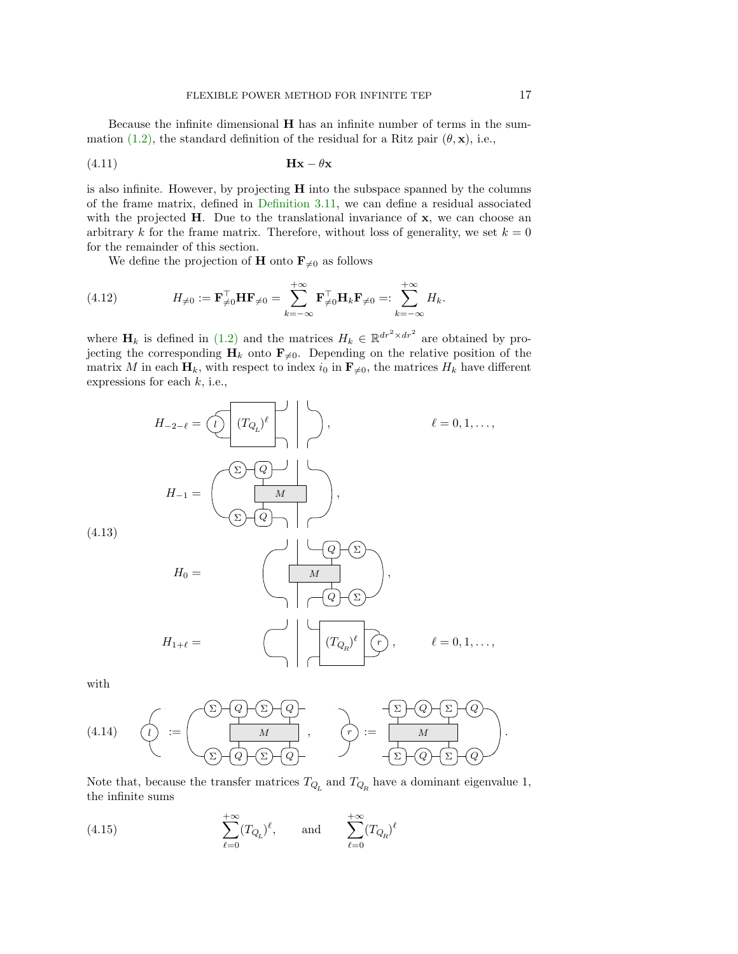Because the infinite dimensional H has an infinite number of terms in the sum-mation [\(1.2\),](#page-0-1) the standard definition of the residual for a Ritz pair  $(\theta, \mathbf{x})$ , i.e.,

$$
(4.11)\t\t\t\tHx - \theta x
$$

is also infinite. However, by projecting  $H$  into the subspace spanned by the columns of the frame matrix, defined in [Definition 3.11,](#page-9-3) we can define a residual associated with the projected  $H$ . Due to the translational invariance of  $x$ , we can choose an arbitrary k for the frame matrix. Therefore, without loss of generality, we set  $k = 0$ for the remainder of this section.

<span id="page-16-0"></span>We define the projection of **H** onto  $\mathbf{F}_{\neq 0}$  as follows

(4.12) 
$$
H_{\neq 0} := \mathbf{F}_{\neq 0}^{\top} \mathbf{H} \mathbf{F}_{\neq 0} = \sum_{k=-\infty}^{+\infty} \mathbf{F}_{\neq 0}^{\top} \mathbf{H}_{k} \mathbf{F}_{\neq 0} =: \sum_{k=-\infty}^{+\infty} H_{k}.
$$

where  $\mathbf{H}_k$  is defined in [\(1.2\)](#page-0-1) and the matrices  $H_k \in \mathbb{R}^{dr^2 \times dr^2}$  are obtained by projecting the corresponding  $\mathbf{H}_k$  onto  $\mathbf{F}_{\neq 0}$ . Depending on the relative position of the matrix M in each  $\mathbf{H}_k$ , with respect to index  $i_0$  in  $\mathbf{F}_{\neq 0}$ , the matrices  $H_k$  have different expressions for each  $k$ , i.e.,

$$
H_{-2-\ell} = \underbrace{\left(\sum \left(T_{Q_L}\right)^{\ell}\right)}_{H_{-1}} = \underbrace{\left(\sum \left(\frac{Q}{M}\right)^{\ell}\right)}_{\text{max}} , \qquad \ell = 0, 1, \ldots,
$$
\n
$$
H_0 = \underbrace{\left(\frac{M}{M}\right)}_{H_{1+\ell}} ,
$$
\n
$$
H_{1+\ell} = \underbrace{\left(\frac{M}{M}\right)}_{\text{max}} \underbrace{\left(\frac{Q}{Q}\right)^{\ell}}_{\text{max}} \underbrace{\left(\frac{Q}{Q}\right)^{\ell}}_{\text{max}}, \qquad \ell = 0, 1, \ldots,
$$

with

<span id="page-16-1"></span>(4.13)

<span id="page-16-2"></span>
$$
(4.14) \qquad \begin{pmatrix} 1 & \frac{1}{2} & \frac{1}{2} & \frac{1}{2} & \frac{1}{2} & \frac{1}{2} & \frac{1}{2} & \frac{1}{2} \\ \frac{1}{2} & \frac{1}{2} & \frac{1}{2} & \frac{1}{2} & \frac{1}{2} & \frac{1}{2} \\ \frac{1}{2} & \frac{1}{2} & \frac{1}{2} & \frac{1}{2} & \frac{1}{2} & \frac{1}{2} \end{pmatrix} \qquad (4.14) \qquad \begin{pmatrix} 1 & \frac{1}{2} & \frac{1}{2} & \frac{1}{2} & \frac{1}{2} & \frac{1}{2} \\ \frac{1}{2} & \frac{1}{2} & \frac{1}{2} & \frac{1}{2} & \frac{1}{2} & \frac{1}{2} \\ \frac{1}{2} & \frac{1}{2} & \frac{1}{2} & \frac{1}{2} & \frac{1}{2} & \frac{1}{2} \end{pmatrix} \qquad (4.14)
$$

Note that, because the transfer matrices  $T_{Q_L}$  and  $T_{Q_R}$  have a dominant eigenvalue 1, the infinite sums

<span id="page-16-3"></span>(4.15) 
$$
\sum_{\ell=0}^{+\infty} (T_{Q_L})^{\ell}, \quad \text{and} \quad \sum_{\ell=0}^{+\infty} (T_{Q_R})^{\ell}
$$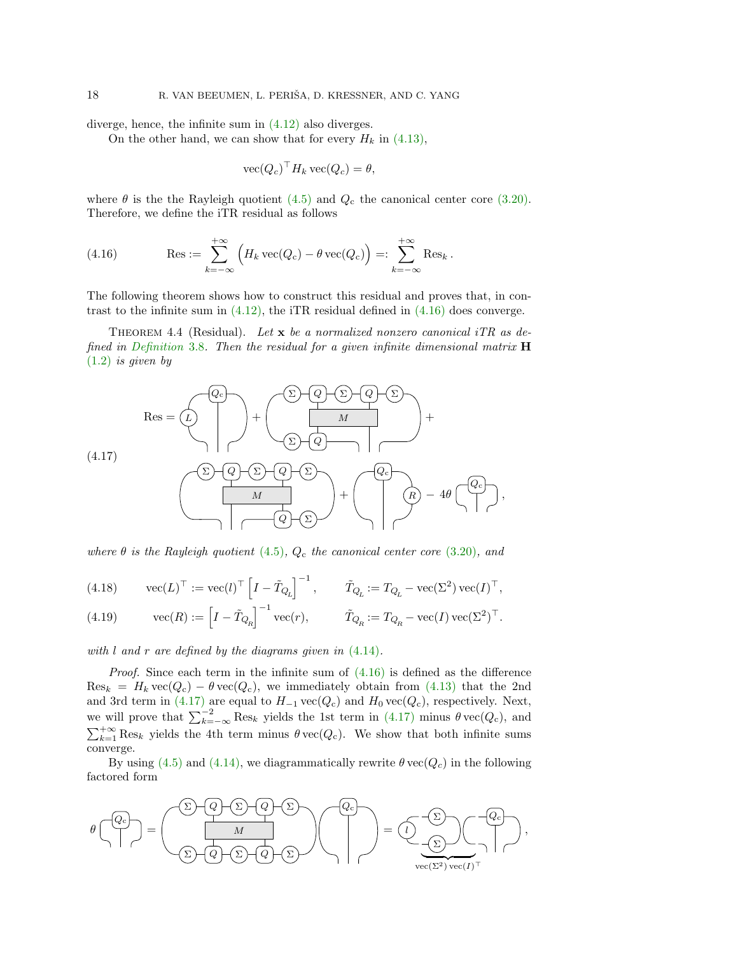diverge, hence, the infinite sum in [\(4.12\)](#page-16-0) also diverges.

On the other hand, we can show that for every  $H_k$  in [\(4.13\),](#page-16-1)

$$
\text{vec}(Q_c)^\top H_k \text{vec}(Q_c) = \theta,
$$

where  $\theta$  is the the Rayleigh quotient [\(4.5\)](#page-14-1) and  $Q_c$  the canonical center core [\(3.20\).](#page-9-2) Therefore, we define the iTR residual as follows

<span id="page-17-0"></span>(4.16) 
$$
\operatorname{Res} := \sum_{k=-\infty}^{+\infty} \left( H_k \operatorname{vec}(Q_c) - \theta \operatorname{vec}(Q_c) \right) =: \sum_{k=-\infty}^{+\infty} \operatorname{Res}_k.
$$

<span id="page-17-3"></span>The following theorem shows how to construct this residual and proves that, in contrast to the infinite sum in  $(4.12)$ , the iTR residual defined in  $(4.16)$  does converge.

THEOREM 4.4 (Residual). Let  $x$  be a normalized nonzero canonical iTR as de-fined in [Definition](#page-6-0) 3.8. Then the residual for a given infinite dimensional matrix  $\bf{H}$  $(1.2)$  is given by

<span id="page-17-1"></span>(4.17)  
\n
$$
Res = \underbrace{\begin{pmatrix} Q_{c} \\ L \end{pmatrix}}_{\text{(4.17)}} + \underbrace{\begin{pmatrix} \sum_{i} Q_{i} \\ L \end{pmatrix}}_{\text{(4.17)}} + \underbrace{\begin{pmatrix} \sum_{i} Q_{i} \\ L \end{pmatrix}}_{\text{(4.17)}} + \underbrace{\begin{pmatrix} Q_{c} \\ L \end{pmatrix}}_{\text{(4.18)}} + \underbrace{\begin{pmatrix} Q_{c} \\ L \end{pmatrix}}_{\text{(4.19)}} + \underbrace{\begin{pmatrix} Q_{c} \\ R \end{pmatrix}}_{\text{(4.19)}} + \underbrace{\begin{pmatrix} Q_{c} \\ R \end{pmatrix}}_{\text{(4.100)}} + 4\theta \underbrace{\begin{pmatrix} Q_{c} \\ L \end{pmatrix}}_{\text{(4.101)}}.
$$

where  $\theta$  is the Rayleigh quotient [\(4.5\)](#page-14-1),  $Q_c$  the canonical center core [\(3.20\)](#page-9-2), and

<span id="page-17-2"></span>(4.18) 
$$
\text{vec}(L)^{\top} := \text{vec}(l)^{\top} \left[ I - \tilde{T}_{Q_L} \right]^{-1}, \qquad \tilde{T}_{Q_L} := T_{Q_L} - \text{vec}(\Sigma^2) \,\text{vec}(I)^{\top},
$$

(4.19) 
$$
\text{vec}(R) := \left[I - \tilde{T}_{Q_R}\right]^{-1} \text{vec}(r), \qquad \tilde{T}_{Q_R} := T_{Q_R} - \text{vec}(I) \text{vec}(\Sigma^2)^\top.
$$

with  $l$  and  $r$  are defined by the diagrams given in  $(4.14)$ .

*Proof.* Since each term in the infinite sum of  $(4.16)$  is defined as the difference  $\text{Res}_k = H_k \text{vec}(Q_c) - \theta \text{vec}(Q_c)$ , we immediately obtain from [\(4.13\)](#page-16-1) that the 2nd and 3rd term in [\(4.17\)](#page-17-1) are equal to  $H_{-1}$  vec( $Q_c$ ) and  $H_0$  vec( $Q_c$ ), respectively. Next, we will prove that  $\sum_{k=-\infty}^{-2} \text{Res}_k$  yields the 1st term in [\(4.17\)](#page-17-1) minus  $\theta$  vec( $Q_c$ ), and  $\sum_{k=1}^{+\infty}$  Res<sub>k</sub> yields the 4th term minus  $\theta$  vec( $Q_c$ ). We show that both infinite sums converge.

By using [\(4.5\)](#page-14-1) and [\(4.14\),](#page-16-2) we diagrammatically rewrite  $\theta$  vec( $Q_c$ ) in the following factored form

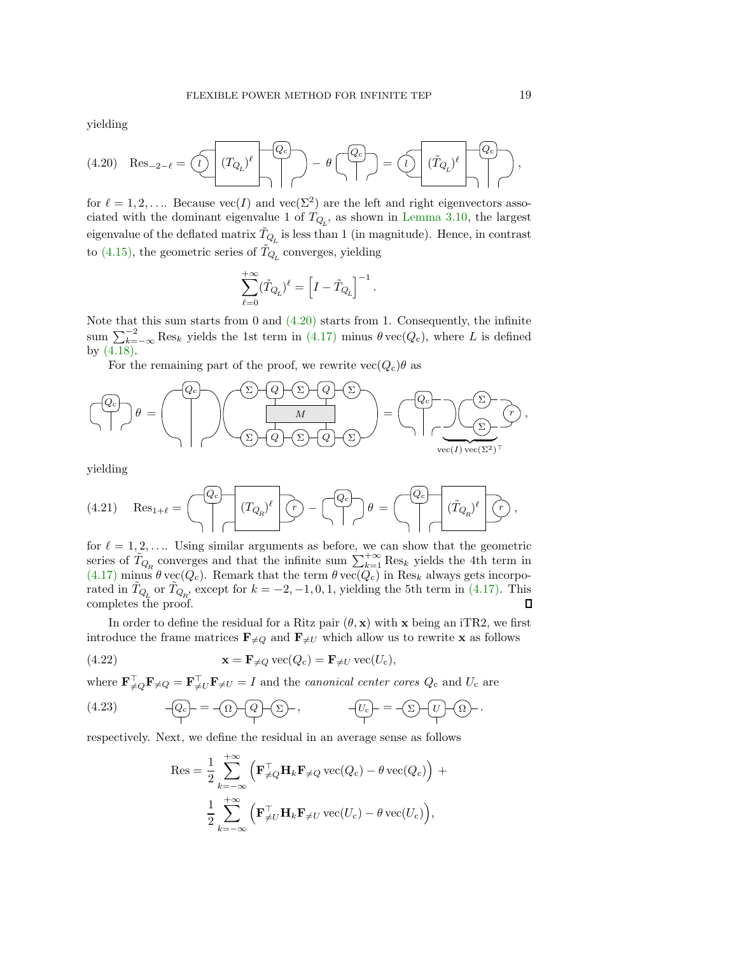yielding

<span id="page-18-0"></span>
$$
(4.20) \quad \text{Res}_{-2-\ell} = \widehat{\left(\sum \limits_{i=1}^{n} (T_{Q_L})^{\ell} \right)} \left(\begin{array}{c} Q_c \\ \hline \end{array}\right) - \theta \left(\begin{array}{c} Q_c \\ \hline \end{array}\right) = \widehat{\left(\sum \limits_{i=1}^{n} (\tilde{T}_{Q_L})^{\ell}} \right) \left(\begin{array}{c} Q_c \\ \hline \end{array}\right),
$$

for  $\ell = 1, 2, \ldots$  Because  $\text{vec}(I)$  and  $\text{vec}(\Sigma^2)$  are the left and right eigenvectors associated with the dominant eigenvalue 1 of  $T_{Q_L}$ , as shown in [Lemma 3.10,](#page-7-6) the largest eigenvalue of the deflated matrix  $\tilde{T}_{Q_L}$  is less than 1 (in magnitude). Hence, in contrast to [\(4.15\),](#page-16-3) the geometric series of  $\tilde{T}_{Q_L}$  converges, yielding

$$
\sum_{\ell=0}^{+\infty} (\tilde{T}_{Q_L})^{\ell} = \left[ I - \tilde{T}_{Q_L} \right]^{-1}.
$$

Note that this sum starts from 0 and  $(4.20)$  starts from 1. Consequently, the infinite sum  $\sum_{k=-\infty}^{-2}$  Res<sub>k</sub> yields the 1st term in [\(4.17\)](#page-17-1) minus  $\theta$  vec( $Q_c$ ), where L is defined by [\(4.18\).](#page-17-2)

For the remaining part of the proof, we rewrite  $\text{vec}(Q_c)\theta$  as

$$
\left(\begin{matrix} Q_c \\ \hline \end{matrix}\right)\theta = \left(\begin{matrix} Q_c \\ \hline \end{matrix}\right)\left(\begin{matrix} \sum\{-Q\}-C\end{matrix}\right)\left(\begin{matrix} Q \\ \hline \end{matrix}\right) \left(\begin{matrix} \sum\{-Q\}-C\end{matrix}\right) \\ \hline \begin{matrix} Q \\ \Sigma\end{matrix}\right)\left(\begin{matrix} Q \\ \Sigma\end{matrix}\right)\left(\begin{matrix} Q \\ \Sigma\end{matrix}\right)\left(\begin{matrix} Q \\ \Sigma\end{matrix}\right) \left(\begin{matrix} Q \\ \Sigma\end{matrix}\right)\left(\begin{matrix} Q \\ \Sigma\end{matrix}\right) \left(\begin{matrix} Q \\ \Sigma\end{matrix}\right) \left(\begin{matrix} Q \\ \Sigma\end{matrix}\right) \left(\begin{matrix} Q \\ \Sigma\end{matrix}\right) \left(\begin{matrix} Q \\ \Sigma\end{matrix}\right)\left(\begin{matrix} Q \\ \Sigma\end{matrix}\right) \left(\begin{matrix} Q \\ \Sigma\end{matrix}\right) \left(\begin{matrix} Q \\ \Sigma\end{matrix}\right) \left(\begin{matrix} Q \\ \Sigma\end{matrix}\right) \left(\begin{matrix} Q \\ \Sigma\end{matrix}\right) \left(\begin{matrix} Q \\ \Sigma\end{matrix}\right) \left(\begin{matrix} Q \\ \Sigma\end{matrix}\right) \left(\begin{matrix} Q \\ \Sigma\end{matrix}\right) \left(\begin{matrix} Q \\ \Sigma\end{matrix}\right) \left(\begin{matrix} Q \\ \Sigma\end{matrix}\right) \left(\begin{matrix} Q \\ \Sigma\end{matrix}\right) \left(\begin{matrix} Q \\ \Sigma\end{matrix}\right) \left(\begin{matrix} Q \\ \Sigma\end{matrix}\right) \left(\begin{matrix} Q \\ \Sigma\end{matrix}\right) \left(\begin{matrix} Q \\ \Sigma\end{matrix}\right) \left(\begin{matrix} Q \\ \Sigma\end{matrix}\right) \left(\begin{matrix} Q \\ \Sigma\end{matrix}\right) \left(\begin{matrix} Q \\ \Sigma\end{matrix}\right) \left(\begin{matrix} Q \\ \Sigma\end{matrix}\right) \left(\begin{matrix} Q \\ \Sigma\end{matrix}\right) \left(\begin{matrix} Q \\ \Sigma\end{matrix}\right) \left(\begin{matrix} Q \\ \Sigma\end{matrix}\right) \left(\begin{matrix} Q \\ \Sigma\end{matrix}\right) \left(\begin{matrix} Q \\ \Sigma\end{matrix}\right) \left(\begin{matrix} Q \\ \Sigma\end{matrix}\right) \left(\begin{matrix} Q \\ \Sigma\end{matrix}\right) \left(\begin{matrix} Q \\ \Sigma\
$$

yielding

(4.21) Res1+<sup>ℓ</sup> = Qc (T<sup>Q</sup> r R ) <sup>ℓ</sup> <sup>−</sup> Qc θ = Qc (T˜<sup>Q</sup> <sup>r</sup> R ) ℓ ,

for  $\ell = 1, 2, \ldots$  Using similar arguments as before, we can show that the geometric series of  $\tilde{T}_{Q_R}$  converges and that the infinite sum  $\sum_{k=1}^{+\infty} \text{Res}_k$  yields the 4th term in  $(4.17)$  minus  $\theta$  vec $(Q_c)$ . Remark that the term  $\theta$  vec $(Q_c)$  in Res<sub>k</sub> always gets incorporated in  $\tilde{T}_{Q_L}$  or  $\tilde{T}_{Q_R}$ , except for  $k = -2, -1, 0, 1$ , yielding the 5th term in [\(4.17\).](#page-17-1) This completes the proof.

In order to define the residual for a Ritz pair  $(\theta, \mathbf{x})$  with x being an iTR2, we first introduce the frame matrices  $\mathbf{F}_{\neq Q}$  and  $\mathbf{F}_{\neq U}$  which allow us to rewrite x as follows

(4.22) 
$$
\mathbf{x} = \mathbf{F}_{\neq Q} \operatorname{vec}(Q_{c}) = \mathbf{F}_{\neq U} \operatorname{vec}(U_{c}),
$$

where  $\mathbf{F}_{\neq Q}^{\top} \mathbf{F}_{\neq Q} = \mathbf{F}_{\neq U}^{\top} \mathbf{F}_{\neq U} = I$  and the *canonical center cores*  $Q_c$  and  $U_c$  are

<span id="page-18-1"></span>(4.23) 
$$
-\overline{Q_c} = -\overline{Q} - \overline{Q} - \overline{Q} - \overline{\Sigma} - , \qquad -\overline{U_c} = -\overline{\Sigma} - \overline{U} - \overline{Q} - .
$$

respectively. Next, we define the residual in an average sense as follows

$$
\text{Res} = \frac{1}{2} \sum_{k=-\infty}^{+\infty} \left( \mathbf{F}_{\neq Q}^{\top} \mathbf{H}_{k} \mathbf{F}_{\neq Q} \, \text{vec}(Q_{c}) - \theta \, \text{vec}(Q_{c}) \right) +
$$

$$
\frac{1}{2} \sum_{k=-\infty}^{+\infty} \left( \mathbf{F}_{\neq U}^{\top} \mathbf{H}_{k} \mathbf{F}_{\neq U} \, \text{vec}(U_{c}) - \theta \, \text{vec}(U_{c}) \right),
$$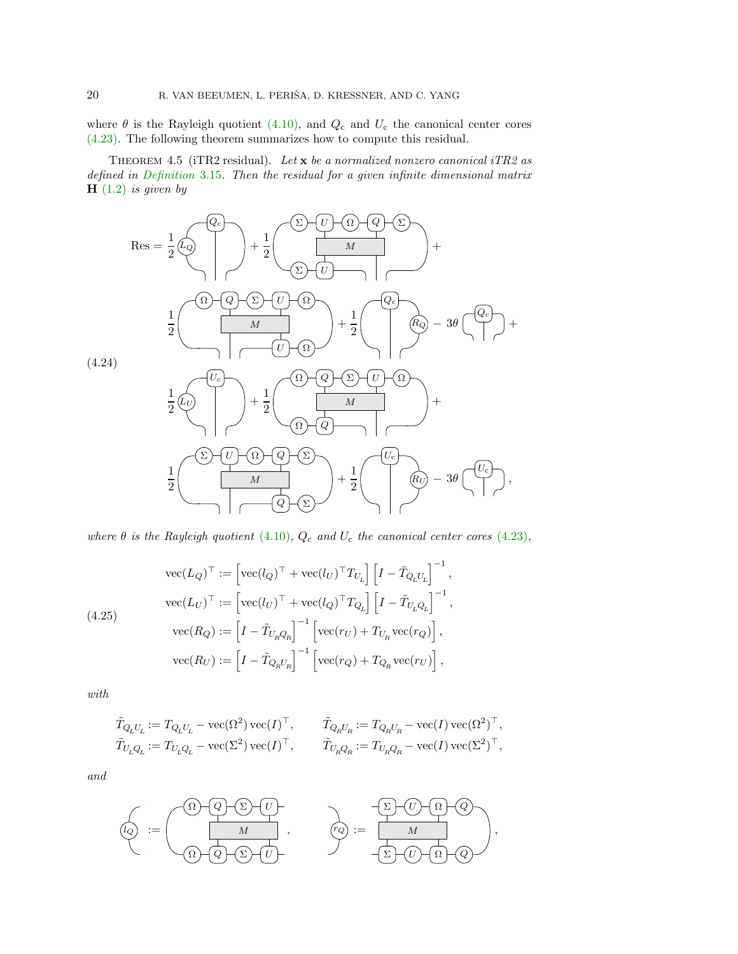where  $\theta$  is the Rayleigh quotient [\(4.10\),](#page-15-1) and  $Q_c$  and  $U_c$  the canonical center cores [\(4.23\).](#page-18-1) The following theorem summarizes how to compute this residual.

THEOREM 4.5 (iTR2 residual). Let  $x$  be a normalized nonzero canonical iTR2 as defined in [Definition](#page-11-0) 3.15. Then the residual for a given infinite dimensional matrix  $H(1.2)$  $H(1.2)$  is given by

<span id="page-19-0"></span>

where  $\theta$  is the Rayleigh quotient [\(4.10\)](#page-15-1),  $Q_c$  and  $U_c$  the canonical center cores [\(4.23\)](#page-18-1),

<span id="page-19-1"></span>(4.25)  
\n
$$
\text{vec}(L_Q)^\top := \left[ \text{vec}(l_Q)^\top + \text{vec}(l_U)^\top T_{U_L} \right] \left[ I - \tilde{T}_{Q_L U_L} \right]^{-1},
$$
\n
$$
\text{vec}(L_U)^\top := \left[ \text{vec}(l_U)^\top + \text{vec}(l_Q)^\top T_{Q_L} \right] \left[ I - \tilde{T}_{U_L Q_L} \right]^{-1},
$$
\n
$$
\text{vec}(R_Q) := \left[ I - \tilde{T}_{U_R Q_R} \right]^{-1} \left[ \text{vec}(r_U) + T_{U_R} \text{vec}(r_Q) \right],
$$
\n
$$
\text{vec}(R_U) := \left[ I - \tilde{T}_{Q_R U_R} \right]^{-1} \left[ \text{vec}(r_Q) + T_{Q_R} \text{vec}(r_U) \right],
$$

with

$$
\tilde{T}_{Q_L U_L} := T_{Q_L U_L} - \text{vec}(\Omega^2) \,\text{vec}(I)^\top, \qquad \tilde{T}_{Q_R U_R} := T_{Q_R U_R} - \text{vec}(I) \,\text{vec}(\Omega^2)^\top,
$$
\n
$$
\tilde{T}_{U_L Q_L} := T_{U_L Q_L} - \text{vec}(\Sigma^2) \,\text{vec}(I)^\top, \qquad \tilde{T}_{U_R Q_R} := T_{U_R Q_R} - \text{vec}(I) \,\text{vec}(\Sigma^2)^\top,
$$

and

$$
\begin{pmatrix}\n\overline{a} & \overline{a} & \overline{a} & \overline{a} \\
\overline{a} & \overline{a} & \overline{a} & \overline{a} \\
\overline{a} & \overline{a} & \overline{a} & \overline{a} \\
\overline{a} & \overline{a} & \overline{a} & \overline{a} \\
\overline{a} & \overline{a} & \overline{a} & \overline{a} \\
\overline{a} & \overline{a} & \overline{a} & \overline{a} \\
\overline{a} & \overline{a} & \overline{a} & \overline{a} \\
\overline{a} & \overline{a} & \overline{a} & \overline{a} \\
\overline{a} & \overline{a} & \overline{a} & \overline{a} \\
\overline{a} & \overline{a} & \overline{a} & \overline{a} \\
\overline{a} & \overline{a} & \overline{a} & \overline{a} \\
\overline{a} & \overline{a} & \overline{a} & \overline{a} \\
\overline{a} & \overline{a} & \overline{a} & \overline{a} \\
\overline{a} & \overline{a} & \overline{a} & \overline{a} \\
\overline{a} & \overline{a} & \overline{a} & \overline{a} \\
\overline{a} & \overline{a} & \overline{a} & \overline{a} \\
\overline{a} & \overline{a} & \overline{a} & \overline{a} \\
\overline{a} & \overline{a} & \overline{a} & \overline{a} \\
\overline{a} & \overline{a} & \overline{a} & \overline{a} \\
\overline{a} & \overline{a} & \overline{a} & \overline{a} \\
\overline{a} & \overline{a} & \overline{a} & \overline{a} \\
\overline{a} & \overline{a} & \overline{a} & \overline{a} \\
\overline{a} & \overline{a} & \overline{a} & \overline{a} \\
\overline{a} & \overline{a} & \overline{a} & \overline{a} \\
\overline{a} & \overline{a} & \overline{a} & \overline{a} \\
\overline{a} & \overline{a} & \overline{a} & \overline{a} \\
\overline{a} & \overline{a} & \overline{a} & \overline{
$$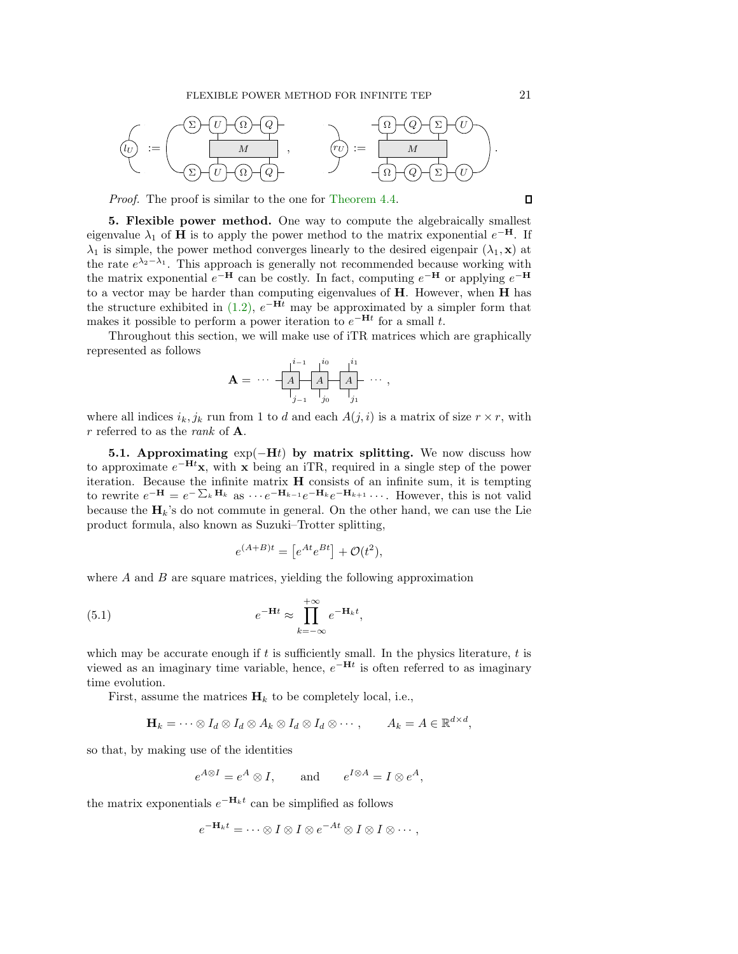

Proof. The proof is similar to the one for [Theorem 4.4.](#page-17-3)

<span id="page-20-0"></span>5. Flexible power method. One way to compute the algebraically smallest eigenvalue  $\lambda_1$  of **H** is to apply the power method to the matrix exponential  $e^{-H}$ . If  $\lambda_1$  is simple, the power method converges linearly to the desired eigenpair  $(\lambda_1, \mathbf{x})$  at the rate  $e^{\lambda_2 - \lambda_1}$ . This approach is generally not recommended because working with the matrix exponential  $e^{-H}$  can be costly. In fact, computing  $e^{-H}$  or applying  $e^{-H}$ to a vector may be harder than computing eigenvalues of H. However, when H has the structure exhibited in [\(1.2\),](#page-0-1)  $e^{-\mathbf{H}t}$  may be approximated by a simpler form that makes it possible to perform a power iteration to  $e^{-Ht}$  for a small t.

Throughout this section, we will make use of iTR matrices which are graphically represented as follows

$$
\mathbf{A} = \cdots \begin{bmatrix} 1 & 1 & 1 & 1 \\ 1 & 1 & 1 & 1 \\ 1 & 1 & 1 & 1 \\ 1 & 1 & 1 & 1 \\ 1 & 1 & 1 & 1 \end{bmatrix} \mathbf{A} \begin{bmatrix} 1 & 1 & 1 \\ 1 & 1 & 1 \\ 1 & 1 & 1 \end{bmatrix} \cdots ,
$$

where all indices  $i_k, j_k$  run from 1 to d and each  $A(j, i)$  is a matrix of size  $r \times r$ , with r referred to as the rank of  $A$ .

5.1. Approximating  $exp(-Ht)$  by matrix splitting. We now discuss how to approximate  $e^{-\mathbf{H}t}\mathbf{x}$ , with x being an iTR, required in a single step of the power iteration. Because the infinite matrix H consists of an infinite sum, it is tempting to rewrite  $e^{-\mathbf{H}} = e^{-\sum_{k} \mathbf{H}_{k}}$  as  $\cdots e^{-\mathbf{H}_{k-1}} e^{-\mathbf{H}_{k}} e^{-\mathbf{H}_{k+1}} \cdots$ . However, this is not valid because the  $H_k$ 's do not commute in general. On the other hand, we can use the Lie product formula, also known as Suzuki–Trotter splitting,

<span id="page-20-1"></span>
$$
e^{(A+B)t} = \left[e^{At}e^{Bt}\right] + \mathcal{O}(t^2),
$$

where  $A$  and  $B$  are square matrices, yielding the following approximation

(5.1) 
$$
e^{-\mathbf{H}t} \approx \prod_{k=-\infty}^{+\infty} e^{-\mathbf{H}_k t},
$$

which may be accurate enough if  $t$  is sufficiently small. In the physics literature,  $t$  is viewed as an imaginary time variable, hence,  $e^{-Ht}$  is often referred to as imaginary time evolution.

First, assume the matrices  $\mathbf{H}_k$  to be completely local, i.e.,

$$
\mathbf{H}_k = \cdots \otimes I_d \otimes I_d \otimes A_k \otimes I_d \otimes I_d \otimes \cdots, \qquad A_k = A \in \mathbb{R}^{d \times d},
$$

so that, by making use of the identities

$$
e^{A\otimes I} = e^A \otimes I
$$
, and  $e^{I\otimes A} = I \otimes e^A$ ,

the matrix exponentials  $e^{-\mathbf{H}_k t}$  can be simplified as follows

$$
e^{-\mathbf{H}_k t} = \cdots \otimes I \otimes I \otimes e^{-At} \otimes I \otimes I \otimes \cdots,
$$

 $\Box$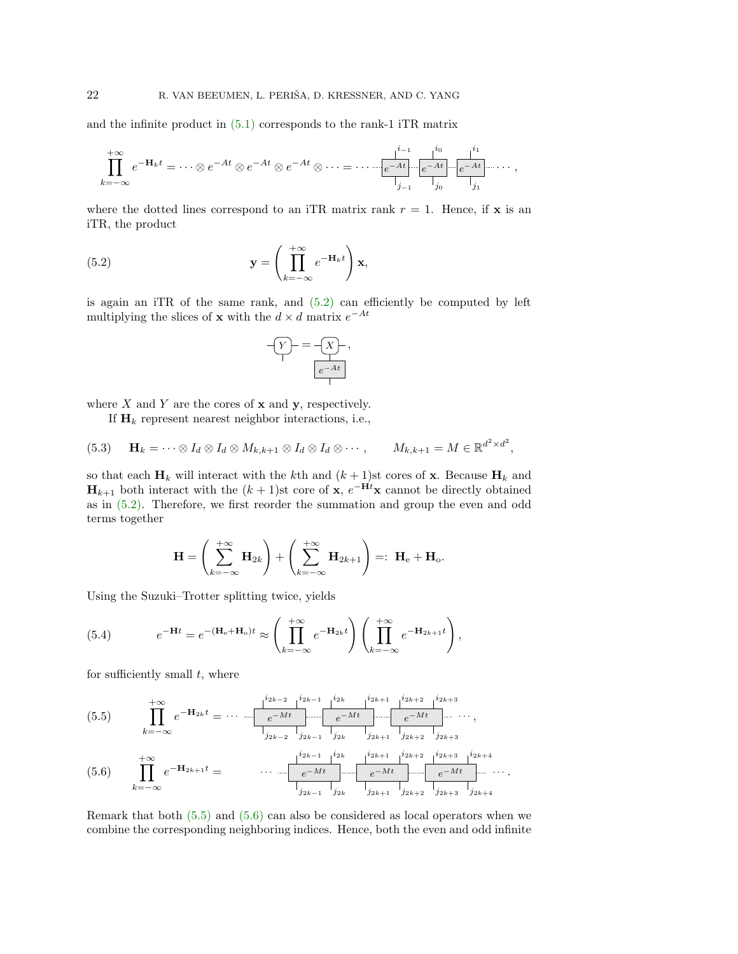and the infinite product in [\(5.1\)](#page-20-1) corresponds to the rank-1 iTR matrix

$$
\prod_{k=-\infty}^{+\infty} e^{-\mathbf{H}_k t} = \cdots \otimes e^{-At} \otimes e^{-At} \otimes e^{-At} \otimes \cdots = \cdots - \underbrace{e^{-At}}_{j-1} \underbrace{-e^{-At}}_{j_0} \underbrace{-e^{-At}}_{j_1} \cdots ,
$$

where the dotted lines correspond to an iTR matrix rank  $r = 1$ . Hence, if **x** is an iTR, the product

(5.2) 
$$
\mathbf{y} = \left(\prod_{k=-\infty}^{+\infty} e^{-\mathbf{H}_k t}\right) \mathbf{x},
$$

is again an iTR of the same rank, and  $(5.2)$  can efficiently be computed by left multiplying the slices of **x** with the  $d \times d$  matrix  $e^{-At}$ 

<span id="page-21-0"></span>
$$
-\underbrace{Y}_{\vert} = -\underbrace{X}_{\underbrace{P}_{\mathcal{A}} \rightarrow \mathcal{A}} \,,
$$

where  $X$  and  $Y$  are the cores of  $x$  and  $y$ , respectively.

If  $H_k$  represent nearest neighbor interactions, i.e.,

(5.3) 
$$
\mathbf{H}_k = \cdots \otimes I_d \otimes I_d \otimes M_{k,k+1} \otimes I_d \otimes I_d \otimes \cdots, \qquad M_{k,k+1} = M \in \mathbb{R}^{d^2 \times d^2},
$$

so that each  $\mathbf{H}_k$  will interact with the kth and  $(k+1)$ st cores of **x**. Because  $\mathbf{H}_k$  and  $\mathbf{H}_{k+1}$  both interact with the  $(k+1)$ st core of x,  $e^{-\mathbf{H}t}$ x cannot be directly obtained as in [\(5.2\).](#page-21-0) Therefore, we first reorder the summation and group the even and odd terms together

$$
\mathbf{H} = \left(\sum_{k=-\infty}^{+\infty} \mathbf{H}_{2k}\right) + \left(\sum_{k=-\infty}^{+\infty} \mathbf{H}_{2k+1}\right) =: \ \mathbf{H}_{e} + \mathbf{H}_{o}.
$$

Using the Suzuki–Trotter splitting twice, yields

<span id="page-21-3"></span>(5.4) 
$$
e^{-\mathbf{H}t} = e^{-(\mathbf{H}_e + \mathbf{H}_o)t} \approx \left(\prod_{k=-\infty}^{+\infty} e^{-\mathbf{H}_{2k}t}\right) \left(\prod_{k=-\infty}^{+\infty} e^{-\mathbf{H}_{2k+1}t}\right),
$$

for sufficiently small  $t$ , where

<span id="page-21-1"></span>
$$
(5.5) \qquad \prod_{k=-\infty}^{+\infty} e^{-\mathbf{H}_{2k}t} = \cdots \qquad \frac{\left| \begin{array}{c} i_{2k-2} & i_{2k-1} & \left| \begin{array}{c} i_{2k} & i_{2k+1} & \left| \begin{array}{c} i_{2k+2} & \left| \begin{array}{c} i_{2k+3} \end{array} \right| \end{array} \right.}{\left| \begin{array}{c} i_{2k+2} & i_{2k+3} \end{array} \right.} \right|} \qquad \cdots, \qquad \frac{\left| \begin{array}{c} -Mt & \left| \begin{array}{c} i_{2k-1} & \left| \begin{array}{c} i_{2k-1} & \left| \begin{array}{c} i_{2k+1} & \left| \begin{array}{c} i_{2k+2} & \left| \begin{array}{c} i_{2k+3} \end{array} \right. \right.}{\left| \begin{array}{c} i_{2k+2} & \left| \begin{array}{c} i_{2k+3} \end{array} \right. \right.} \right.} \end{array} \right|} \end{array}
$$

<span id="page-21-2"></span>+ Y∞ k=−∞ e <sup>−</sup>H2k+1<sup>t</sup> = · · · <sup>e</sup>−Mt <sup>e</sup>−Mt <sup>e</sup>−Mt · · · j2k−<sup>1</sup> i2k−<sup>1</sup> j2<sup>k</sup> i2<sup>k</sup> j2k+1 i2k+1 j2k+2 i2k+2 j2k+3 i2k+3 j2k+4 i2k+4 (5.6) .

Remark that both [\(5.5\)](#page-21-1) and [\(5.6\)](#page-21-2) can also be considered as local operators when we combine the corresponding neighboring indices. Hence, both the even and odd infinite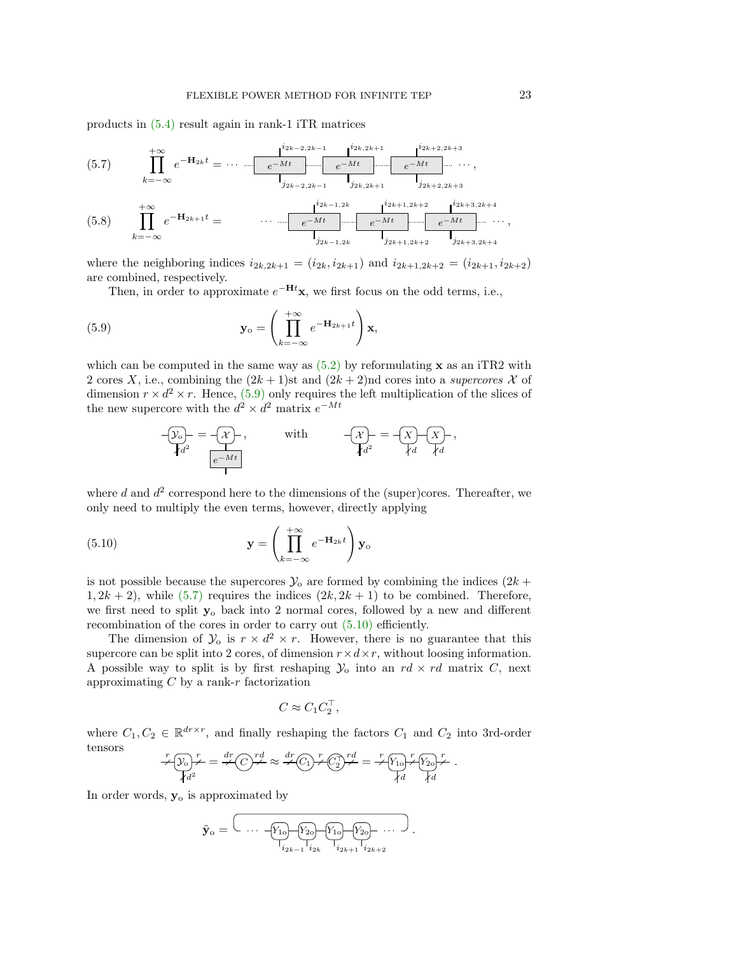products in [\(5.4\)](#page-21-3) result again in rank-1 iTR matrices

<span id="page-22-1"></span>
$$
(5.7) \qquad \prod_{k=-\infty}^{+\infty} e^{-\mathbf{H}_{2k}t} = \cdots \qquad \frac{e^{-Mt}}{e^{-Mt}} = \frac{e^{-Mt}}{e^{-Mt}} = \frac{e^{-Mt}}{j_{2k-2,k+1}} \qquad \frac{i_{2k+2,k+3}}{j_{2k+2,k+3}} \cdots,
$$
\n
$$
(5.8) \qquad \prod_{k=-\infty}^{+\infty} e^{-\mathbf{H}_{2k+1}t} = \qquad \cdots \qquad \frac{i_{2k-1,2k}}{e^{-Mt}} = \frac{i_{2k+1,2k+2}}{e^{-Mt}} = \frac{i_{2k+1,2k+2}}{e^{-Mt}} = \frac{i_{2k+3,2k+4}}{e^{-Mt}} \cdots,
$$

where the neighboring indices  $i_{2k,2k+1} = (i_{2k}, i_{2k+1})$  and  $i_{2k+1,2k+2} = (i_{2k+1}, i_{2k+2})$ are combined, respectively.

Then, in order to approximate  $e^{-\mathbf{H}t}\mathbf{x}$ , we first focus on the odd terms, i.e.,

(5.9) 
$$
\mathbf{y}_{\text{o}} = \left(\prod_{k=-\infty}^{+\infty} e^{-\mathbf{H}_{2k+1}t}\right)\mathbf{x},
$$

which can be computed in the same way as  $(5.2)$  by reformulating **x** as an iTR2 with 2 cores X, i.e., combining the  $(2k+1)$ st and  $(2k+2)$ nd cores into a supercores X of dimension  $r \times d^2 \times r$ . Hence, [\(5.9\)](#page-22-0) only requires the left multiplication of the slices of the new supercore with the  $d^2 \times d^2$  matrix  $e^{-Mt}$ 

<span id="page-22-2"></span><span id="page-22-0"></span>
$$
-\underbrace{\left(y_{\text{o}}\right)}_{d^2} = -\underbrace{\left(x\right)}_{e^{-Mt}}, \qquad \text{with} \qquad -\underbrace{\left(x\right)}_{d^2} = -\underbrace{\left(x\right)}_{d} - \underbrace{\left(x\right)}_{d},
$$

where d and  $d^2$  correspond here to the dimensions of the (super)cores. Thereafter, we only need to multiply the even terms, however, directly applying

(5.10) 
$$
\mathbf{y} = \left(\prod_{k=-\infty}^{+\infty} e^{-\mathbf{H}_{2k}t}\right) \mathbf{y}_{\text{o}}
$$

is not possible because the supercores  $\mathcal{Y}_0$  are formed by combining the indices  $(2k +$  $1, 2k + 2$ , while  $(5.7)$  requires the indices  $(2k, 2k + 1)$  to be combined. Therefore, we first need to split  $y_0$  back into 2 normal cores, followed by a new and different recombination of the cores in order to carry out [\(5.10\)](#page-22-2) efficiently.

The dimension of  $\mathcal{Y}_0$  is  $r \times d^2 \times r$ . However, there is no guarantee that this supercore can be split into 2 cores, of dimension  $r \times d \times r$ , without loosing information. A possible way to split is by first reshaping  $\mathcal{Y}_0$  into an  $rd \times rd$  matrix C, next approximating  $C$  by a rank- $r$  factorization

$$
C \approx C_1 C_2^{\top},
$$

where  $C_1, C_2 \in \mathbb{R}^{dr \times r}$ , and finally reshaping the factors  $C_1$  and  $C_2$  into 3rd-order tensors

$$
\frac{r}{d^2} \left( \frac{\partial^2}{\partial x^2} \right)^r = \frac{dr}{d\theta} \left( \frac{\partial^2}{\partial x^2} \right)^r \approx \frac{dr}{d\theta} \left( \frac{\partial^2}{\partial x^2} \right)^r \left( \frac{\partial^2}{\partial x^2} \right)^r = \frac{r}{d\theta} \left( \frac{\partial^2}{\partial x^2} \right)^r \left( \frac{\partial^2}{\partial x^2} \right)^r.
$$

In order words,  $y_0$  is approximated by

$$
\tilde{\mathbf{y}}_{o} = \begin{bmatrix} \cdots & \boxed{Y_{1o}} & \boxed{Y_{2o}} & \boxed{Y_{1o}} & \boxed{Y_{2o}} & \cdots & \cdots \\ \vdots & \vdots & \vdots & \vdots & \vdots & \vdots \\ \frac{1}{i_{2k-1}} & \frac{1}{i_{2k}} & \boxed{Y_{2k+1}} & \frac{1}{i_{2k+2}} & \cdots & \cdots \end{bmatrix}.
$$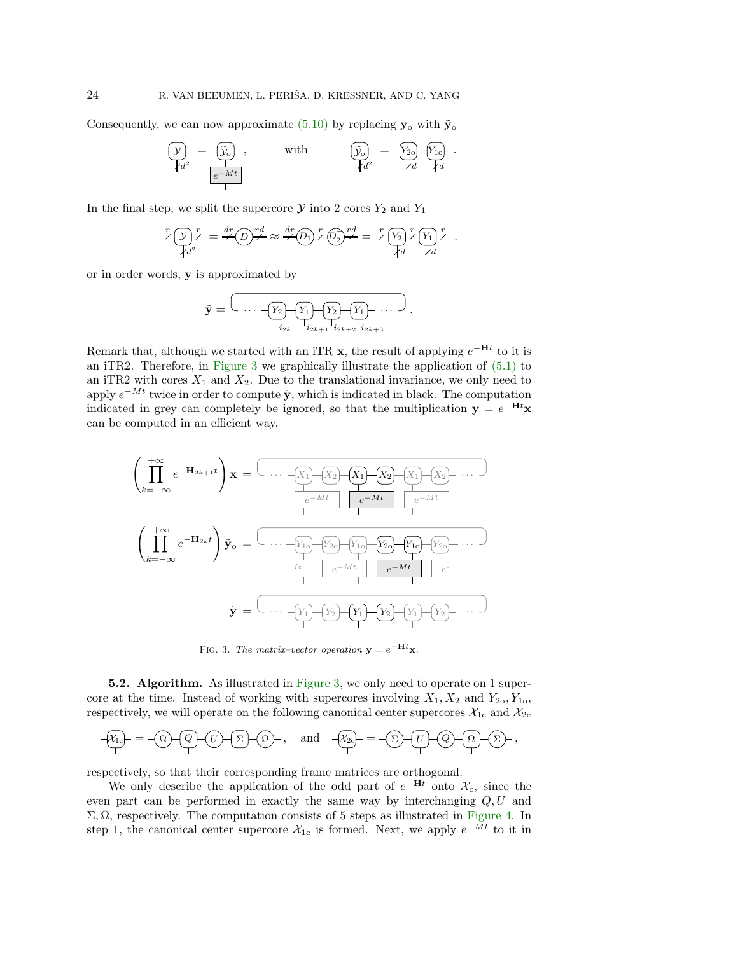Consequently, we can now approximate [\(5.10\)](#page-22-2) by replacing  $y_0$  with  $\tilde{y}_0$ 

$$
\overbrace{\begin{pmatrix} \hat{y} \\ \hat{d}^2 \end{pmatrix}}^{2} = -\overbrace{\begin{pmatrix} \hat{y}_0 \\ e^{-Mt} \end{pmatrix}}^{2}, \quad \text{with} \quad -\overbrace{\begin{pmatrix} \hat{y}_0 \\ \hat{d}^2 \end{pmatrix}}^{2} = -\overbrace{\begin{pmatrix} Y_{20} \\ \hat{d}^2 \end{pmatrix}}^{2} \overbrace{\begin{pmatrix} Y_{10} \\ \hat{d}^2 \end{pmatrix}}^{2}.
$$

In the final step, we split the supercore  $\mathcal Y$  into 2 cores  $Y_2$  and  $Y_1$ 

$$
\overbrace{\mathcal{A}^2}^r \overbrace{\mathcal{D}}^r \overbrace{\mathcal{A}^2}^{\text{dr}} = \frac{dr}{r} \overbrace{\mathcal{D}}^r \overbrace{\mathcal{A}^r}^{\text{dr}} \approx \frac{dr}{r} \overbrace{\mathcal{D}_1}^r \overbrace{\mathcal{D}_2}^r \overbrace{\mathcal{D}_2}^{\text{rd}} = \frac{r}{r} \left( \overbrace{Y_2}^r \right) \overbrace{\mathcal{A}}^r \overbrace{\mathcal{A}^d}^r.
$$

or in order words, y is approximated by

$$
\tilde{\mathbf{y}} = \begin{bmatrix} \cdots & -\boxed{Y_2} & \boxed{Y_1} & \boxed{Y_2} & \boxed{Y_1} & \cdots & \cdots \\ \vdots & \vdots & \vdots & \vdots & \vdots \\ \frac{1}{2k} & \frac{1}{2k+1} & \frac{1}{2k+2} & \frac{1}{2k+3} \end{bmatrix}.
$$

Remark that, although we started with an iTR **x**, the result of applying  $e^{-\mathbf{H}t}$  to it is an iTR2. Therefore, in [Figure 3](#page-23-0) we graphically illustrate the application of  $(5.1)$  to an iTR2 with cores  $X_1$  and  $X_2$ . Due to the translational invariance, we only need to apply  $e^{-Mt}$  twice in order to compute  $\tilde{y}$ , which is indicated in black. The computation indicated in grey can completely be ignored, so that the multiplication  $\mathbf{y} = e^{-\mathbf{H}t}\mathbf{x}$ can be computed in an efficient way.

<span id="page-23-0"></span>
$$
\left(\prod_{k=-\infty}^{+\infty} e^{-\mathbf{H}_{2k+1}t}\right) \mathbf{x} = \begin{bmatrix} \dots & -\boxed{x_1 - \boxed{x_2} - \boxed{x_1} - \boxed{x_2} - \boxed{x_1} - \boxed{x_2} - \dots \end{bmatrix}
$$

$$
\begin{array}{c} e^{-Mt} & e^{-Mt} & e^{-Mt} \\ \hline & e^{-Mt} & e^{-Mt} \end{array}
$$

$$
\begin{array}{c} \begin{pmatrix} +\infty \\ \prod_{k=-\infty}^{+\infty} e^{-\mathbf{H}_{2k}t} \end{pmatrix} \tilde{\mathbf{y}}_0 = \begin{bmatrix} \dots & -\boxed{Y_{10}} - \boxed{Y_{20}} - \boxed{Y_{10}} - \boxed{Y_{20}} - \boxed{Y_{10}} - \boxed{Y_{20}} - \dots \end{bmatrix} \\ \tilde{\mathbf{y}} = \begin{bmatrix} \dots & -\boxed{Y_1} - \boxed{Y_2} - \boxed{Y_1} - \boxed{Y_2} - \boxed{Y_1} - \boxed{Y_2} - \dots \end{bmatrix} \end{array}
$$

FIG. 3. The matrix–vector operation  $y = e^{-Ht}x$ .

<span id="page-23-1"></span>5.2. Algorithm. As illustrated in [Figure 3,](#page-23-0) we only need to operate on 1 supercore at the time. Instead of working with supercores involving  $X_1, X_2$  and  $Y_{2o}, Y_{1o}$ , respectively, we will operate on the following canonical center supercores  $\mathcal{X}_{1c}$  and  $\mathcal{X}_{2c}$ 

$$
-\underbrace{\{x_{1c}\}}_{\textbf{I}} = -\underbrace{\textcircled{\textcircled{\textcirc}}} \left(\bigoplus_{\textbf{I}} \bigoplus_{\textbf{I}} \bigoplus_{\textbf{I}} \bigoplus_{\textbf{I}} \bigoplus_{\textbf{I}} \text{,} \quad \text{and} \quad -\underbrace{\{x_{2c}\}}_{\textbf{I}} = -\underbrace{\textcircled{\textcircled{\textcircled{\textcirc}}} \left(\text{I}\right) \oplus \bigoplus_{\textbf{I}} \bigoplus_{\textbf{I}} \bigoplus_{\textbf{I}} \bigoplus_{\textbf{I}} \bigoplus_{\textbf{I}} \bigoplus_{\textbf{I}} \bigoplus_{\textbf{I}} \bigoplus_{\textbf{I}} \bigoplus_{\textbf{I}} \bigoplus_{\textbf{I}} \bigoplus_{\textbf{I}} \bigoplus_{\textbf{I}} \bigoplus_{\textbf{I}} \bigoplus_{\textbf{I}} \bigoplus_{\textbf{I}} \bigoplus_{\textbf{I}} \bigoplus_{\textbf{I}} \bigoplus_{\textbf{I}} \bigoplus_{\textbf{I}} \bigoplus_{\textbf{I}} \bigoplus_{\textbf{I}} \bigoplus_{\textbf{I}} \bigoplus_{\textbf{I}} \bigoplus_{\textbf{I}} \bigoplus_{\textbf{I}} \bigoplus_{\textbf{I}} \bigoplus_{\textbf{I}} \bigoplus_{\textbf{I}} \bigoplus_{\textbf{I}} \bigoplus_{\textbf{I}} \bigoplus_{\textbf{I}} \bigoplus_{\textbf{I}} \bigoplus_{\textbf{I}} \bigoplus_{\textbf{I}} \bigoplus_{\textbf{I}} \bigoplus_{\textbf{I}} \bigoplus_{\textbf{I}} \bigoplus_{\textbf{I}} \bigoplus_{\textbf{I}} \bigoplus_{\textbf{I}} \bigoplus_{\textbf{I}} \bigoplus_{\textbf{I}} \bigoplus_{\textbf{I}} \bigoplus_{\textbf{I}} \bigoplus_{\textbf{I}} \bigoplus_{\textbf{I}} \bigoplus_{\textbf{I}} \bigoplus_{\textbf{I}} \bigoplus_{\textbf{I}} \bigoplus_{\textbf{I}} \bigoplus_{\textbf{I}} \bigoplus_{\textbf{I}} \bigoplus_{\textbf{I}} \bigoplus_{\textbf{I}} \bigoplus_{\text
$$

respectively, so that their corresponding frame matrices are orthogonal.

We only describe the application of the odd part of  $e^{-Ht}$  onto  $\mathcal{X}_c$ , since the even part can be performed in exactly the same way by interchanging  $Q, U$  and  $\Sigma$ , Ω, respectively. The computation consists of 5 steps as illustrated in [Figure 4.](#page-24-0) In step 1, the canonical center supercore  $\mathcal{X}_{1c}$  is formed. Next, we apply  $e^{-Mt}$  to it in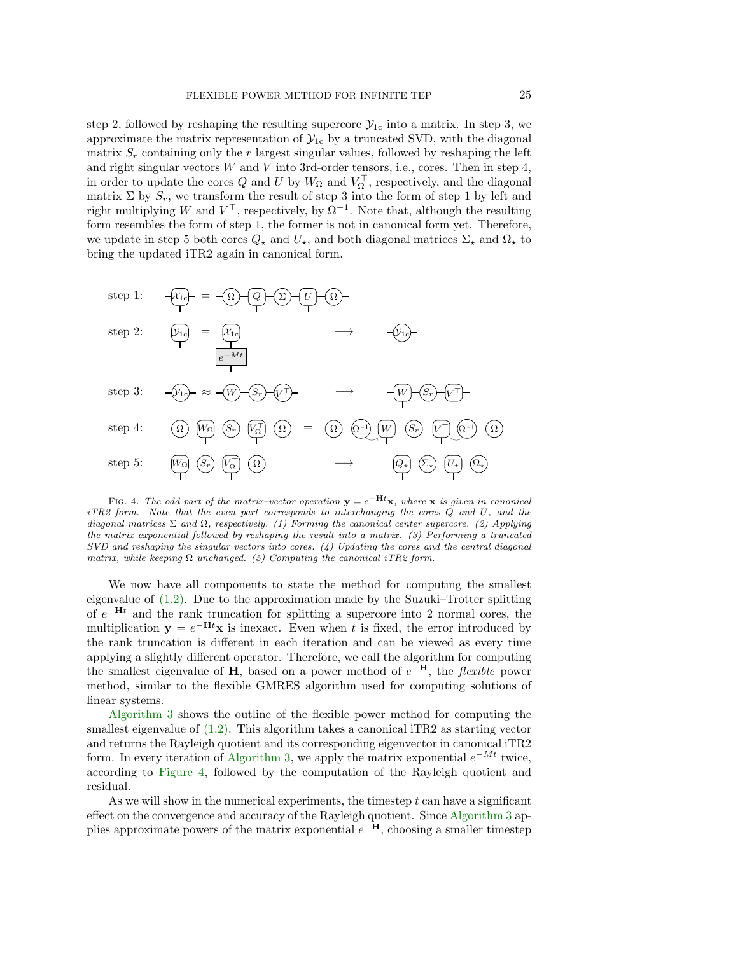step 2, followed by reshaping the resulting supercore  $\mathcal{Y}_{1c}$  into a matrix. In step 3, we approximate the matrix representation of  $\mathcal{Y}_{1c}$  by a truncated SVD, with the diagonal matrix  $S_r$  containing only the r largest singular values, followed by reshaping the left and right singular vectors  $W$  and  $V$  into 3rd-order tensors, i.e., cores. Then in step 4, in order to update the cores Q and U by  $W_{\Omega}$  and  $V_{\Omega}^{\top}$ , respectively, and the diagonal matrix  $\Sigma$  by  $S_r$ , we transform the result of step 3 into the form of step 1 by left and right multiplying W and  $V^{\top}$ , respectively, by  $\Omega^{-1}$ . Note that, although the resulting form resembles the form of step 1, the former is not in canonical form yet. Therefore, we update in step 5 both cores  $Q_{\star}$  and  $U_{\star}$ , and both diagonal matrices  $\Sigma_{\star}$  and  $\Omega_{\star}$  to bring the updated iTR2 again in canonical form.

<span id="page-24-0"></span>

FIG. 4. The odd part of the matrix–vector operation  $y = e^{-Ht}x$ , where x is given in canonical  $iTR2$  form. Note that the even part corresponds to interchanging the cores  $Q$  and  $U$ , and the diagonal matrices  $\Sigma$  and  $\Omega$ , respectively. (1) Forming the canonical center supercore. (2) Applying the matrix exponential followed by reshaping the result into a matrix. (3) Performing a truncated SVD and reshaping the singular vectors into cores. (4) Updating the cores and the central diagonal matrix, while keeping  $\Omega$  unchanged. (5) Computing the canonical iTR2 form.

We now have all components to state the method for computing the smallest eigenvalue of  $(1.2)$ . Due to the approximation made by the Suzuki–Trotter splitting of  $e^{-Ht}$  and the rank truncation for splitting a supercore into 2 normal cores, the multiplication  $y = e^{-Ht}x$  is inexact. Even when t is fixed, the error introduced by the rank truncation is different in each iteration and can be viewed as every time applying a slightly different operator. Therefore, we call the algorithm for computing the smallest eigenvalue of H, based on a power method of  $e^{-H}$ , the *flexible* power method, similar to the flexible GMRES algorithm used for computing solutions of linear systems.

[Algorithm 3](#page-25-0) shows the outline of the flexible power method for computing the smallest eigenvalue of  $(1.2)$ . This algorithm takes a canonical iTR2 as starting vector and returns the Rayleigh quotient and its corresponding eigenvector in canonical iTR2 form. In every iteration of [Algorithm 3,](#page-25-0) we apply the matrix exponential  $e^{-Mt}$  twice, according to [Figure 4,](#page-24-0) followed by the computation of the Rayleigh quotient and residual.

As we will show in the numerical experiments, the timestep  $t$  can have a significant effect on the convergence and accuracy of the Rayleigh quotient. Since [Algorithm 3](#page-25-0) applies approximate powers of the matrix exponential  $e^{-\mathbf{H}}$ , choosing a smaller timestep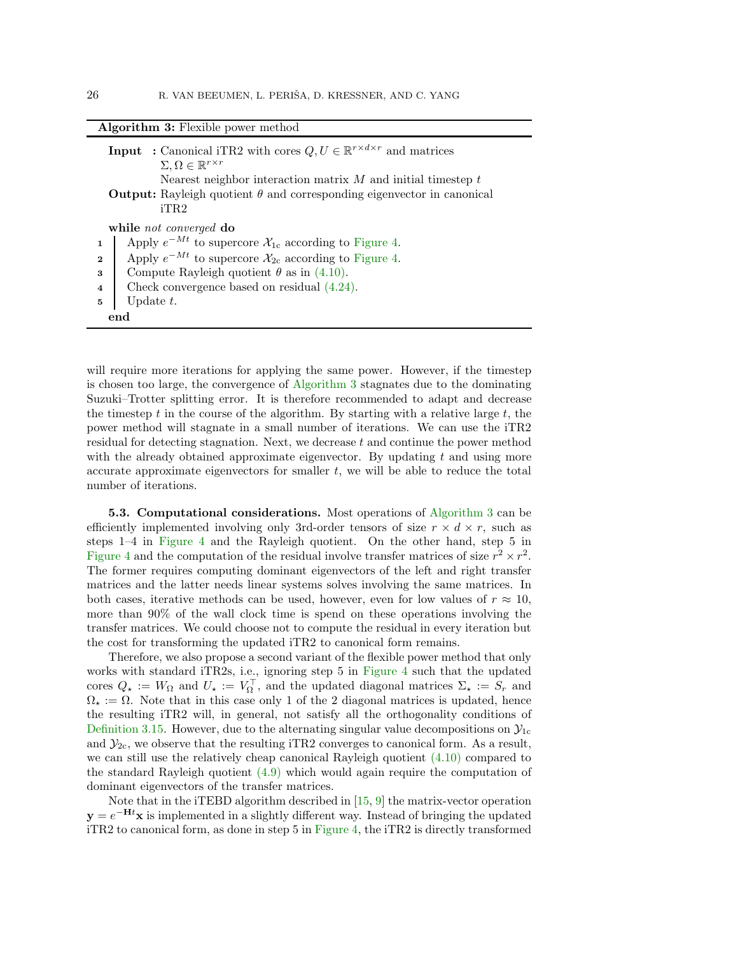<span id="page-25-0"></span>Algorithm 3: Flexible power method

| <b>Input</b> : Canonical iTR2 with cores $Q, U \in \mathbb{R}^{r \times d \times r}$ and matrices |
|---------------------------------------------------------------------------------------------------|
| $\Sigma, \Omega \in \mathbb{R}^{r \times r}$                                                      |
| Nearest neighbor interaction matrix $M$ and initial timestep $t$                                  |
| <b>Output:</b> Rayleigh quotient $\theta$ and corresponding eigenvector in canonical              |
| iTR2                                                                                              |
| while not converged do                                                                            |
| Apply $e^{-Mt}$ to supercore $\mathcal{X}_{1c}$ according to Figure 4.                            |
| Apply $e^{-Mt}$ to supercore $\mathcal{X}_{2c}$ according to Figure 4.                            |
| Compute Rayleigh quotient $\theta$ as in (4.10).                                                  |
| Check convergence based on residual $(4.24)$ .                                                    |
| Update $t$ .                                                                                      |
| end                                                                                               |
|                                                                                                   |

will require more iterations for applying the same power. However, if the timestep is chosen too large, the convergence of [Algorithm 3](#page-25-0) stagnates due to the dominating Suzuki–Trotter splitting error. It is therefore recommended to adapt and decrease the timestep t in the course of the algorithm. By starting with a relative large  $t$ , the power method will stagnate in a small number of iterations. We can use the iTR2 residual for detecting stagnation. Next, we decrease t and continue the power method with the already obtained approximate eigenvector. By updating  $t$  and using more accurate approximate eigenvectors for smaller  $t$ , we will be able to reduce the total number of iterations.

5.3. Computational considerations. Most operations of [Algorithm 3](#page-25-0) can be efficiently implemented involving only 3rd-order tensors of size  $r \times d \times r$ , such as steps 1–4 in [Figure 4](#page-24-0) and the Rayleigh quotient. On the other hand, step 5 in [Figure 4](#page-24-0) and the computation of the residual involve transfer matrices of size  $r^2 \times r^2$ . The former requires computing dominant eigenvectors of the left and right transfer matrices and the latter needs linear systems solves involving the same matrices. In both cases, iterative methods can be used, however, even for low values of  $r \approx 10$ , more than 90% of the wall clock time is spend on these operations involving the transfer matrices. We could choose not to compute the residual in every iteration but the cost for transforming the updated iTR2 to canonical form remains.

Therefore, we also propose a second variant of the flexible power method that only works with standard iTR2s, i.e., ignoring step 5 in [Figure 4](#page-24-0) such that the updated cores  $Q_{\star} := W_{\Omega}$  and  $U_{\star} := V_{\Omega}^{\top}$ , and the updated diagonal matrices  $\Sigma_{\star} := S_r$  and  $\Omega_{\star} := \Omega$ . Note that in this case only 1 of the 2 diagonal matrices is updated, hence the resulting iTR2 will, in general, not satisfy all the orthogonality conditions of [Definition 3.15.](#page-11-0) However, due to the alternating singular value decompositions on  $\mathcal{Y}_{1c}$ and  $\mathcal{Y}_{2c}$ , we observe that the resulting iTR2 converges to canonical form. As a result, we can still use the relatively cheap canonical Rayleigh quotient [\(4.10\)](#page-15-1) compared to the standard Rayleigh quotient [\(4.9\)](#page-15-0) which would again require the computation of dominant eigenvectors of the transfer matrices.

Note that in the iTEBD algorithm described in [\[15,](#page-32-8) [9\]](#page-32-14) the matrix-vector operation  $y = e^{-Ht}x$  is implemented in a slightly different way. Instead of bringing the updated iTR2 to canonical form, as done in step 5 in [Figure 4,](#page-24-0) the iTR2 is directly transformed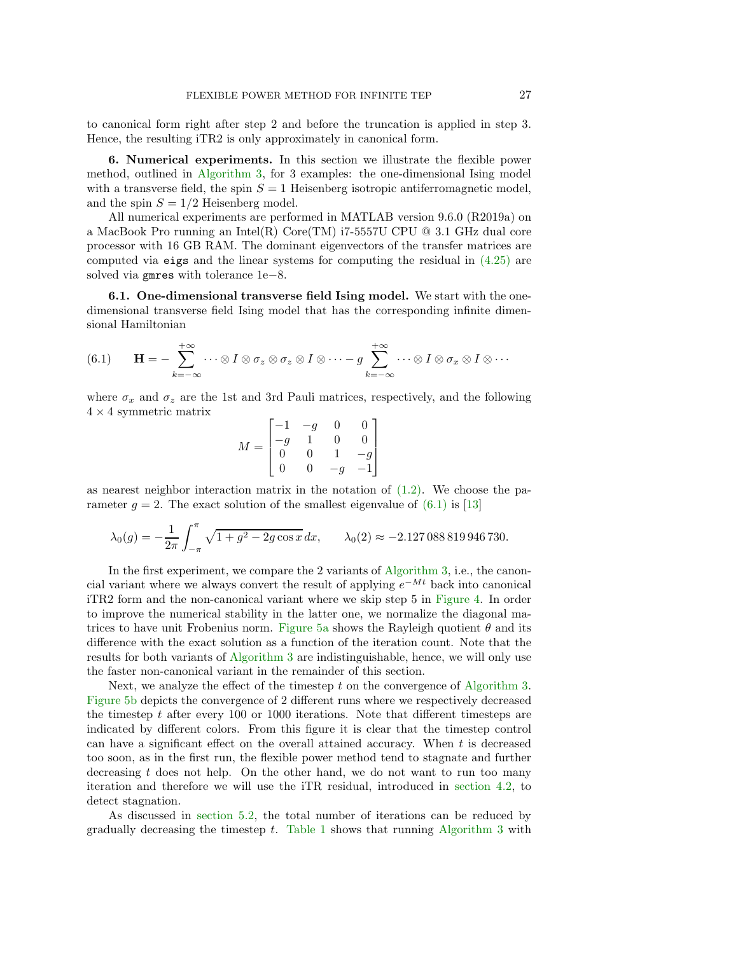to canonical form right after step 2 and before the truncation is applied in step 3. Hence, the resulting iTR2 is only approximately in canonical form.

<span id="page-26-0"></span>6. Numerical experiments. In this section we illustrate the flexible power method, outlined in [Algorithm 3,](#page-25-0) for 3 examples: the one-dimensional Ising model with a transverse field, the spin  $S = 1$  Heisenberg isotropic antiferromagnetic model, and the spin  $S = 1/2$  Heisenberg model.

All numerical experiments are performed in MATLAB version 9.6.0 (R2019a) on a MacBook Pro running an Intel(R) Core(TM) i7-5557U CPU @ 3.1 GHz dual core processor with 16 GB RAM. The dominant eigenvectors of the transfer matrices are computed via eigs and the linear systems for computing the residual in  $(4.25)$  are solved via gmres with tolerance 1e−8.

6.1. One-dimensional transverse field Ising model. We start with the onedimensional transverse field Ising model that has the corresponding infinite dimensional Hamiltonian

<span id="page-26-1"></span>
$$
(6.1) \qquad \mathbf{H} = -\sum_{k=-\infty}^{+\infty} \cdots \otimes I \otimes \sigma_z \otimes \sigma_z \otimes I \otimes \cdots - g \sum_{k=-\infty}^{+\infty} \cdots \otimes I \otimes \sigma_x \otimes I \otimes \cdots
$$

where  $\sigma_x$  and  $\sigma_z$  are the 1st and 3rd Pauli matrices, respectively, and the following  $4 \times 4$  symmetric matrix

$$
M = \begin{bmatrix} -1 & -g & 0 & 0 \\ -g & 1 & 0 & 0 \\ 0 & 0 & 1 & -g \\ 0 & 0 & -g & -1 \end{bmatrix}
$$

as nearest neighbor interaction matrix in the notation of  $(1.2)$ . We choose the parameter  $q = 2$ . The exact solution of the smallest eigenvalue of  $(6.1)$  is [\[13\]](#page-32-15)

$$
\lambda_0(g) = -\frac{1}{2\pi} \int_{-\pi}^{\pi} \sqrt{1 + g^2 - 2g \cos x} \, dx, \qquad \lambda_0(2) \approx -2.127\,088\,819\,946\,730.
$$

In the first experiment, we compare the 2 variants of [Algorithm 3,](#page-25-0) i.e., the canoncial variant where we always convert the result of applying  $e^{-Mt}$  back into canonical iTR2 form and the non-canonical variant where we skip step 5 in [Figure 4.](#page-24-0) In order to improve the numerical stability in the latter one, we normalize the diagonal matrices to have unit Frobenius norm. Figure 5a shows the Rayleigh quotient  $\theta$  and its difference with the exact solution as a function of the iteration count. Note that the results for both variants of [Algorithm 3](#page-25-0) are indistinguishable, hence, we will only use the faster non-canonical variant in the remainder of this section.

Next, we analyze the effect of the timestep  $t$  on the convergence of [Algorithm 3.](#page-25-0) Figure 5b depicts the convergence of 2 different runs where we respectively decreased the timestep  $t$  after every 100 or 1000 iterations. Note that different timesteps are indicated by different colors. From this figure it is clear that the timestep control can have a significant effect on the overall attained accuracy. When  $t$  is decreased too soon, as in the first run, the flexible power method tend to stagnate and further decreasing t does not help. On the other hand, we do not want to run too many iteration and therefore we will use the iTR residual, introduced in [section 4.2,](#page-15-2) to detect stagnation.

As discussed in [section 5.2,](#page-23-1) the total number of iterations can be reduced by gradually decreasing the timestep t. [Table 1](#page-28-0) shows that running [Algorithm 3](#page-25-0) with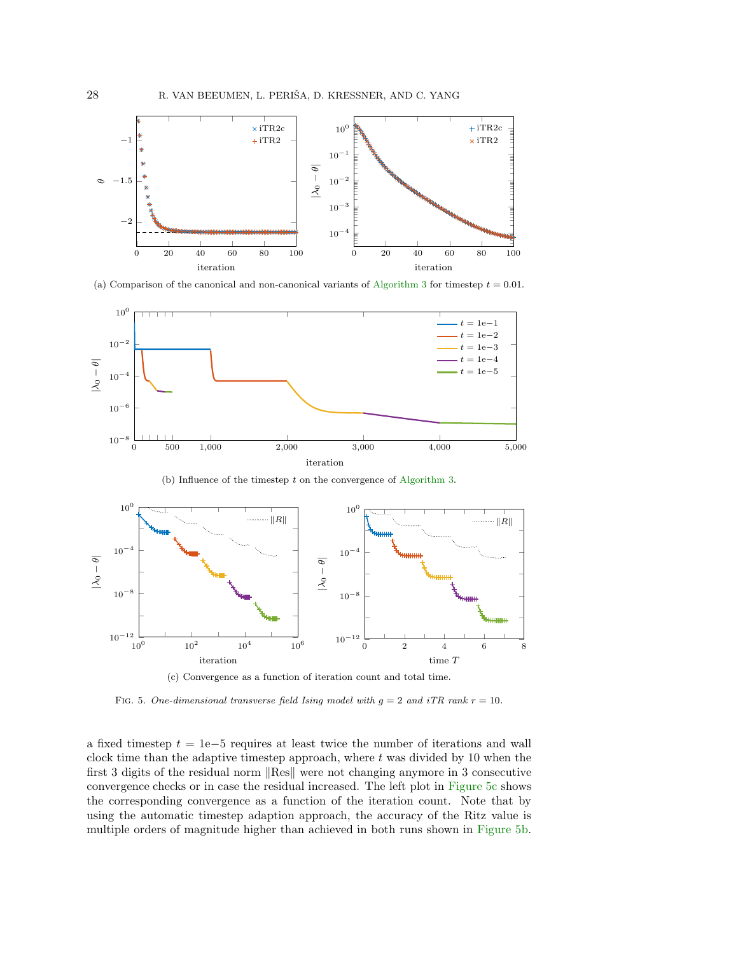

(a) Comparison of the canonical and non-canonical variants of [Algorithm 3](#page-25-0) for timestep  $t = 0.01$ .





FIG. 5. One-dimensional transverse field Ising model with  $g = 2$  and iTR rank  $r = 10$ .

a fixed timestep  $t = 1e-5$  requires at least twice the number of iterations and wall clock time than the adaptive timestep approach, where  $t$  was divided by 10 when the first 3 digits of the residual norm  $\|\text{Res}\|$  were not changing anymore in 3 consecutive convergence checks or in case the residual increased. The left plot in Figure 5c shows the corresponding convergence as a function of the iteration count. Note that by using the automatic timestep adaption approach, the accuracy of the Ritz value is multiple orders of magnitude higher than achieved in both runs shown in Figure 5b.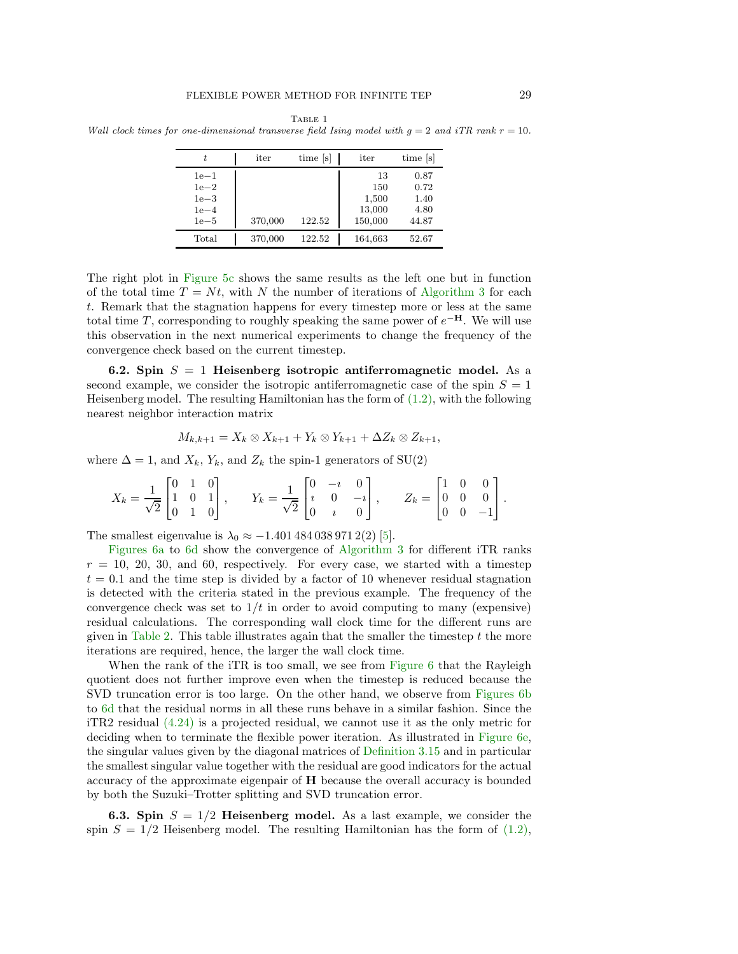<span id="page-28-0"></span>Table 1 Wall clock times for one-dimensional transverse field Ising model with  $q = 2$  and iTR rank  $r = 10$ .

| t      | iter    | time [s] | iter    | time  s |
|--------|---------|----------|---------|---------|
| $1e-1$ |         |          | 13      | 0.87    |
| $1e-2$ |         |          | 150     | 0.72    |
| $1e-3$ |         |          | 1,500   | 1.40    |
| $1e-4$ |         |          | 13,000  | 4.80    |
| $1e-5$ | 370,000 | 122.52   | 150,000 | 44.87   |
| Total  | 370,000 | 122.52   | 164,663 | 52.67   |

The right plot in Figure 5c shows the same results as the left one but in function of the total time  $T = Nt$ , with N the number of iterations of [Algorithm 3](#page-25-0) for each t. Remark that the stagnation happens for every timestep more or less at the same total time T, corresponding to roughly speaking the same power of  $e^{-H}$ . We will use this observation in the next numerical experiments to change the frequency of the convergence check based on the current timestep.

6.2. Spin  $S = 1$  Heisenberg isotropic antiferromagnetic model. As a second example, we consider the isotropic antiferromagnetic case of the spin  $S = 1$ Heisenberg model. The resulting Hamiltonian has the form of [\(1.2\),](#page-0-1) with the following nearest neighbor interaction matrix

$$
M_{k,k+1} = X_k \otimes X_{k+1} + Y_k \otimes Y_{k+1} + \Delta Z_k \otimes Z_{k+1},
$$

where  $\Delta = 1$ , and  $X_k$ ,  $Y_k$ , and  $Z_k$  the spin-1 generators of SU(2)

$$
X_k = \frac{1}{\sqrt{2}} \begin{bmatrix} 0 & 1 & 0 \\ 1 & 0 & 1 \\ 0 & 1 & 0 \end{bmatrix}, \qquad Y_k = \frac{1}{\sqrt{2}} \begin{bmatrix} 0 & -i & 0 \\ i & 0 & -i \\ 0 & i & 0 \end{bmatrix}, \qquad Z_k = \begin{bmatrix} 1 & 0 & 0 \\ 0 & 0 & 0 \\ 0 & 0 & -1 \end{bmatrix}.
$$

The smallest eigenvalue is  $\lambda_0 \approx -1.4014840389712(2)$  [\[5\]](#page-32-16).

Figures 6a to 6d show the convergence of [Algorithm 3](#page-25-0) for different iTR ranks  $r = 10, 20, 30,$  and 60, respectively. For every case, we started with a timestep  $t = 0.1$  and the time step is divided by a factor of 10 whenever residual stagnation is detected with the criteria stated in the previous example. The frequency of the convergence check was set to  $1/t$  in order to avoid computing to many (expensive) residual calculations. The corresponding wall clock time for the different runs are given in [Table 2.](#page-30-1) This table illustrates again that the smaller the timestep  $t$  the more iterations are required, hence, the larger the wall clock time.

When the rank of the iTR is too small, we see from [Figure 6](#page-29-0) that the Rayleigh quotient does not further improve even when the timestep is reduced because the SVD truncation error is too large. On the other hand, we observe from Figures 6b to 6d that the residual norms in all these runs behave in a similar fashion. Since the iTR2 residual [\(4.24\)](#page-19-0) is a projected residual, we cannot use it as the only metric for deciding when to terminate the flexible power iteration. As illustrated in Figure 6e, the singular values given by the diagonal matrices of [Definition 3.15](#page-11-0) and in particular the smallest singular value together with the residual are good indicators for the actual accuracy of the approximate eigenpair of H because the overall accuracy is bounded by both the Suzuki–Trotter splitting and SVD truncation error.

**6.3. Spin**  $S = 1/2$  **Heisenberg model.** As a last example, we consider the spin  $S = 1/2$  Heisenberg model. The resulting Hamiltonian has the form of  $(1.2)$ ,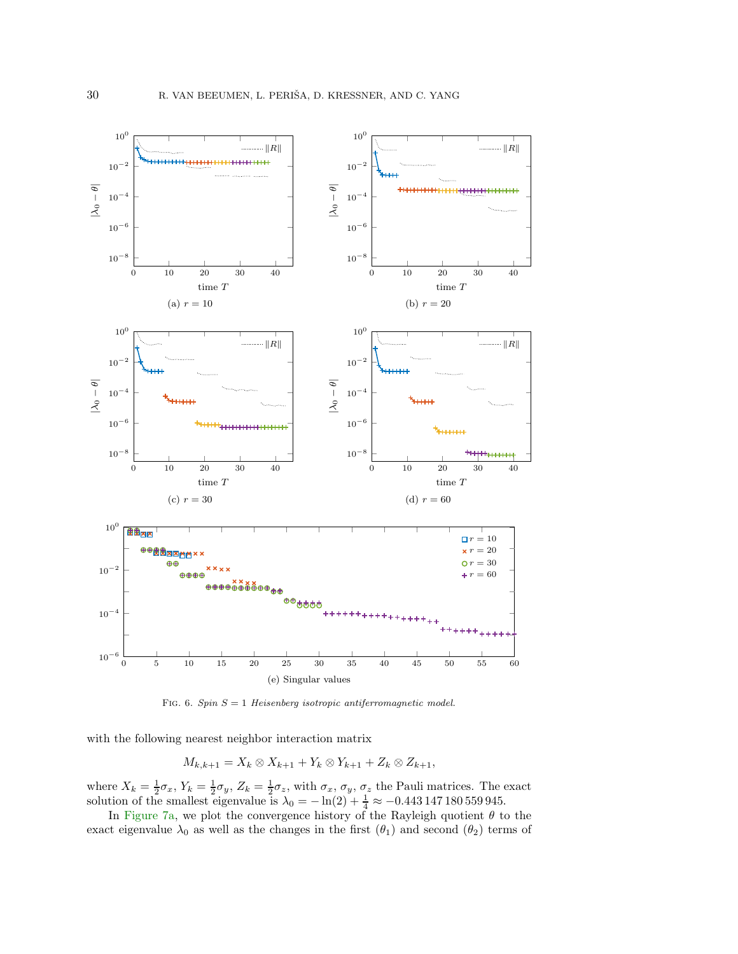<span id="page-29-0"></span>

FIG. 6. Spin  $S = 1$  Heisenberg isotropic antiferromagnetic model.

with the following nearest neighbor interaction matrix

$$
M_{k,k+1}=X_k\otimes X_{k+1}+Y_k\otimes Y_{k+1}+Z_k\otimes Z_{k+1},
$$

where  $X_k = \frac{1}{2}\sigma_x$ ,  $Y_k = \frac{1}{2}\sigma_y$ ,  $Z_k = \frac{1}{2}\sigma_z$ , with  $\sigma_x$ ,  $\sigma_y$ ,  $\sigma_z$  the Pauli matrices. The exact solution of the smallest eigenvalue is  $\lambda_0 = -\ln(2) + \frac{1}{4} \approx -0.443147180559945$ .

In Figure 7a, we plot the convergence history of the Rayleigh quotient  $\theta$  to the exact eigenvalue  $\lambda_0$  as well as the changes in the first  $(\theta_1)$  and second  $(\theta_2)$  terms of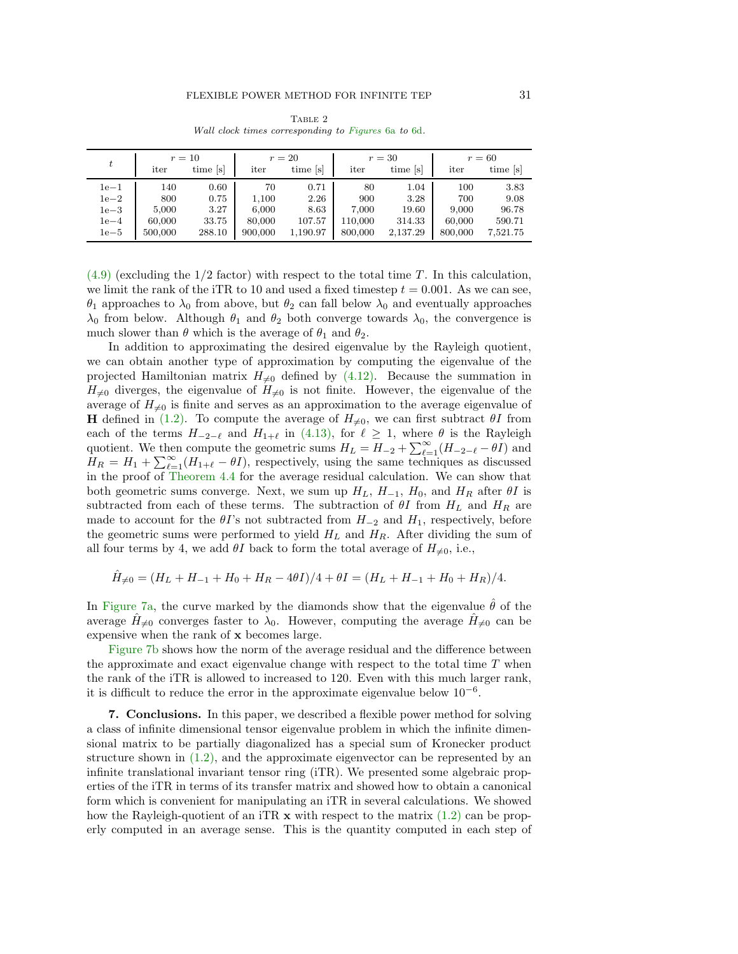<span id="page-30-1"></span>

| t                                      | $r=10$  |        | $r=20$  |          | $r=30$  |          | $r = 60$ |          |
|----------------------------------------|---------|--------|---------|----------|---------|----------|----------|----------|
|                                        | iter    | time s | iter    | time [s] | iter    | time [s] | iter     | time [s] |
| $1e-1$                                 | 140     | 0.60   | 70      | 0.71     | 80      | 1.04     | 100      | 3.83     |
| $1e-2$                                 | 800     | 0.75   | 1,100   | 2.26     | 900     | 3.28     | 700      | 9.08     |
| $1e\hspace{-0.08cm}-\hspace{-0.08cm}3$ | 5,000   | 3.27   | 6,000   | 8.63     | 7,000   | 19.60    | 9,000    | 96.78    |
| $1e-4$                                 | 60,000  | 33.75  | 80,000  | 107.57   | 110,000 | 314.33   | 60,000   | 590.71   |
| $1e\hspace{-0.08cm}-\hspace{-0.08cm}5$ | 500,000 | 288.10 | 900,000 | 1,190.97 | 800,000 | 2,137.29 | 800,000  | 7,521.75 |

Table 2 Wall clock times corresponding to Figures 6a to 6d.

 $(4.9)$  (excluding the  $1/2$  factor) with respect to the total time T. In this calculation, we limit the rank of the iTR to 10 and used a fixed timestep  $t = 0.001$ . As we can see,  $θ_1$  approaches to  $λ_0$  from above, but  $θ_2$  can fall below  $λ_0$  and eventually approaches  $\lambda_0$  from below. Although  $\theta_1$  and  $\theta_2$  both converge towards  $\lambda_0$ , the convergence is much slower than  $\theta$  which is the average of  $\theta_1$  and  $\theta_2$ .

In addition to approximating the desired eigenvalue by the Rayleigh quotient, we can obtain another type of approximation by computing the eigenvalue of the projected Hamiltonian matrix  $H_{\neq 0}$  defined by [\(4.12\).](#page-16-0) Because the summation in  $H_{\neq 0}$  diverges, the eigenvalue of  $H_{\neq 0}$  is not finite. However, the eigenvalue of the average of  $H_{\neq 0}$  is finite and serves as an approximation to the average eigenvalue of **H** defined in [\(1.2\).](#page-0-1) To compute the average of  $H_{\neq 0}$ , we can first subtract  $\theta I$  from each of the terms  $H_{-2-\ell}$  and  $H_{1+\ell}$  in [\(4.13\),](#page-16-1) for  $\ell \geq 1$ , where  $\theta$  is the Rayleigh quotient. We then compute the geometric sums  $H_L = H_{-2} + \sum_{\ell=1}^{\infty} (H_{-2-\ell} - \theta I)$  and  $H_R = H_1 + \sum_{\ell=1}^{\infty} (H_{1+\ell} - \theta I)$ , respectively, using the same techniques as discussed in the proof of [Theorem 4.4](#page-17-3) for the average residual calculation. We can show that both geometric sums converge. Next, we sum up  $H_L$ ,  $H_{-1}$ ,  $H_0$ , and  $H_R$  after  $\theta I$  is subtracted from each of these terms. The subtraction of  $\theta I$  from  $H_L$  and  $H_R$  are made to account for the  $\theta I$ 's not subtracted from  $H_{-2}$  and  $H_1$ , respectively, before the geometric sums were performed to yield  $H_L$  and  $H_R$ . After dividing the sum of all four terms by 4, we add  $\theta I$  back to form the total average of  $H_{\neq 0}$ , i.e.,

$$
\hat{H}_{\neq 0} = (H_L + H_{-1} + H_0 + H_R - 4\theta I)/4 + \theta I = (H_L + H_{-1} + H_0 + H_R)/4.
$$

In Figure 7a, the curve marked by the diamonds show that the eigenvalue  $\hat{\theta}$  of the average  $\hat{H}_{\neq 0}$  converges faster to  $\lambda_0$ . However, computing the average  $\hat{H}_{\neq 0}$  can be expensive when the rank of x becomes large.

Figure 7b shows how the norm of the average residual and the difference between the approximate and exact eigenvalue change with respect to the total time T when the rank of the iTR is allowed to increased to 120. Even with this much larger rank, it is difficult to reduce the error in the approximate eigenvalue below  $10^{-6}$ .

<span id="page-30-0"></span>7. Conclusions. In this paper, we described a flexible power method for solving a class of infinite dimensional tensor eigenvalue problem in which the infinite dimensional matrix to be partially diagonalized has a special sum of Kronecker product structure shown in  $(1.2)$ , and the approximate eigenvector can be represented by an infinite translational invariant tensor ring (iTR). We presented some algebraic properties of the iTR in terms of its transfer matrix and showed how to obtain a canonical form which is convenient for manipulating an iTR in several calculations. We showed how the Rayleigh-quotient of an iTR  $\bf{x}$  with respect to the matrix  $(1.2)$  can be properly computed in an average sense. This is the quantity computed in each step of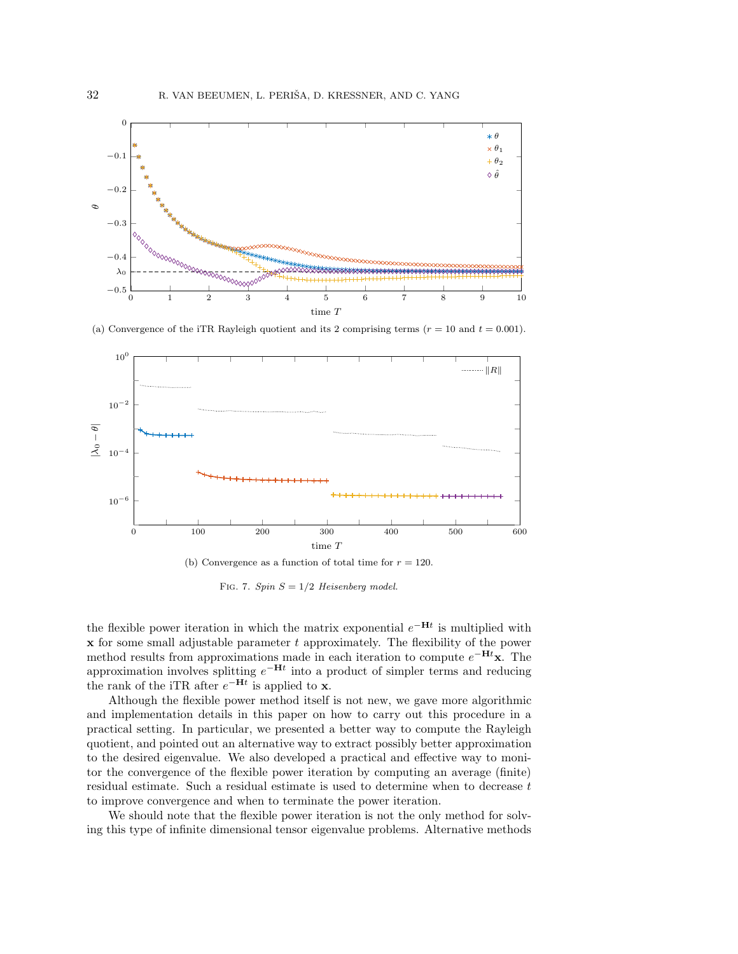

(a) Convergence of the iTR Rayleigh quotient and its 2 comprising terms  $(r = 10 \text{ and } t = 0.001)$ .



FIG. 7. Spin  $S = 1/2$  Heisenberg model.

the flexible power iteration in which the matrix exponential  $e^{-Ht}$  is multiplied with  $x$  for some small adjustable parameter  $t$  approximately. The flexibility of the power method results from approximations made in each iteration to compute  $e^{-Ht}$ **x**. The approximation involves splitting  $e^{-\mathbf{H}t}$  into a product of simpler terms and reducing the rank of the iTR after  $e^{-Ht}$  is applied to **x**.

Although the flexible power method itself is not new, we gave more algorithmic and implementation details in this paper on how to carry out this procedure in a practical setting. In particular, we presented a better way to compute the Rayleigh quotient, and pointed out an alternative way to extract possibly better approximation to the desired eigenvalue. We also developed a practical and effective way to monitor the convergence of the flexible power iteration by computing an average (finite) residual estimate. Such a residual estimate is used to determine when to decrease t to improve convergence and when to terminate the power iteration.

We should note that the flexible power iteration is not the only method for solving this type of infinite dimensional tensor eigenvalue problems. Alternative methods